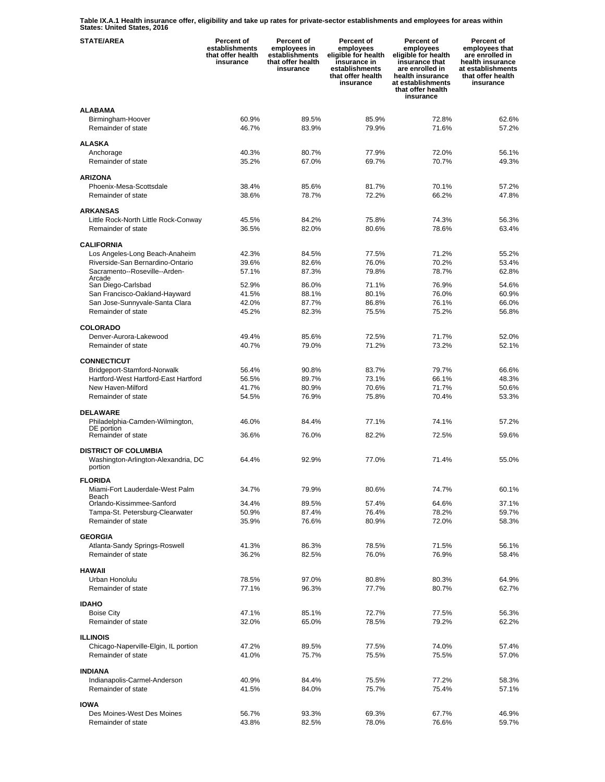**Table IX.A.1 Health insurance offer, eligibility and take up rates for private-sector establishments and employees for areas within States: United States, 2016** 

| <b>STATE/AREA</b>                                  | Percent of<br>establishments<br>that offer health<br>insurance | Percent of<br>employees in<br>establishments<br>that offer health<br>insurance | Percent of<br>employees<br>eligible for health<br>insurance in<br>establishments<br>that offer health<br>insurance | Percent of<br>employees<br>eligible for health<br>insurance that<br>are enrolled in<br>health insurance<br>at establishments<br>that offer health<br>insurance | Percent of<br>employees that<br>are enrolled in<br>health insurance<br>at establishments<br>that offer health<br>insurance |
|----------------------------------------------------|----------------------------------------------------------------|--------------------------------------------------------------------------------|--------------------------------------------------------------------------------------------------------------------|----------------------------------------------------------------------------------------------------------------------------------------------------------------|----------------------------------------------------------------------------------------------------------------------------|
| <b>ALABAMA</b>                                     |                                                                |                                                                                |                                                                                                                    |                                                                                                                                                                |                                                                                                                            |
| Birmingham-Hoover                                  | 60.9%                                                          | 89.5%                                                                          | 85.9%                                                                                                              | 72.8%                                                                                                                                                          | 62.6%                                                                                                                      |
| Remainder of state                                 | 46.7%                                                          | 83.9%                                                                          | 79.9%                                                                                                              | 71.6%                                                                                                                                                          | 57.2%                                                                                                                      |
| <b>ALASKA</b>                                      |                                                                |                                                                                |                                                                                                                    |                                                                                                                                                                |                                                                                                                            |
| Anchorage                                          | 40.3%                                                          | 80.7%                                                                          | 77.9%                                                                                                              | 72.0%                                                                                                                                                          | 56.1%                                                                                                                      |
| Remainder of state                                 | 35.2%                                                          | 67.0%                                                                          | 69.7%                                                                                                              | 70.7%                                                                                                                                                          | 49.3%                                                                                                                      |
|                                                    |                                                                |                                                                                |                                                                                                                    |                                                                                                                                                                |                                                                                                                            |
| <b>ARIZONA</b>                                     |                                                                |                                                                                |                                                                                                                    |                                                                                                                                                                |                                                                                                                            |
| Phoenix-Mesa-Scottsdale                            | 38.4%                                                          | 85.6%                                                                          | 81.7%                                                                                                              | 70.1%                                                                                                                                                          | 57.2%                                                                                                                      |
| Remainder of state                                 | 38.6%                                                          | 78.7%                                                                          | 72.2%                                                                                                              | 66.2%                                                                                                                                                          | 47.8%                                                                                                                      |
| <b>ARKANSAS</b>                                    |                                                                |                                                                                |                                                                                                                    |                                                                                                                                                                |                                                                                                                            |
| Little Rock-North Little Rock-Conway               | 45.5%                                                          | 84.2%                                                                          | 75.8%                                                                                                              | 74.3%                                                                                                                                                          | 56.3%                                                                                                                      |
| Remainder of state                                 | 36.5%                                                          | 82.0%                                                                          | 80.6%                                                                                                              | 78.6%                                                                                                                                                          | 63.4%                                                                                                                      |
|                                                    |                                                                |                                                                                |                                                                                                                    |                                                                                                                                                                |                                                                                                                            |
| <b>CALIFORNIA</b>                                  |                                                                |                                                                                |                                                                                                                    |                                                                                                                                                                |                                                                                                                            |
| Los Angeles-Long Beach-Anaheim                     | 42.3%                                                          | 84.5%                                                                          | 77.5%                                                                                                              | 71.2%                                                                                                                                                          | 55.2%                                                                                                                      |
| Riverside-San Bernardino-Ontario                   | 39.6%                                                          | 82.6%                                                                          | 76.0%                                                                                                              | 70.2%                                                                                                                                                          | 53.4%                                                                                                                      |
| Sacramento--Roseville--Arden-<br>Arcade            | 57.1%                                                          | 87.3%                                                                          | 79.8%                                                                                                              | 78.7%                                                                                                                                                          | 62.8%                                                                                                                      |
| San Diego-Carlsbad                                 | 52.9%                                                          | 86.0%                                                                          | 71.1%                                                                                                              | 76.9%                                                                                                                                                          | 54.6%                                                                                                                      |
| San Francisco-Oakland-Hayward                      | 41.5%                                                          | 88.1%                                                                          | 80.1%                                                                                                              | 76.0%                                                                                                                                                          | 60.9%                                                                                                                      |
| San Jose-Sunnyvale-Santa Clara                     | 42.0%                                                          | 87.7%                                                                          | 86.8%                                                                                                              | 76.1%                                                                                                                                                          | 66.0%                                                                                                                      |
| Remainder of state                                 | 45.2%                                                          | 82.3%                                                                          | 75.5%                                                                                                              | 75.2%                                                                                                                                                          | 56.8%                                                                                                                      |
| <b>COLORADO</b>                                    |                                                                |                                                                                |                                                                                                                    |                                                                                                                                                                |                                                                                                                            |
| Denver-Aurora-Lakewood                             | 49.4%                                                          | 85.6%                                                                          | 72.5%                                                                                                              | 71.7%                                                                                                                                                          | 52.0%                                                                                                                      |
| Remainder of state                                 | 40.7%                                                          | 79.0%                                                                          | 71.2%                                                                                                              | 73.2%                                                                                                                                                          | 52.1%                                                                                                                      |
|                                                    |                                                                |                                                                                |                                                                                                                    |                                                                                                                                                                |                                                                                                                            |
| <b>CONNECTICUT</b>                                 |                                                                |                                                                                |                                                                                                                    |                                                                                                                                                                |                                                                                                                            |
| Bridgeport-Stamford-Norwalk                        | 56.4%                                                          | 90.8%                                                                          | 83.7%                                                                                                              | 79.7%                                                                                                                                                          | 66.6%                                                                                                                      |
| Hartford-West Hartford-East Hartford               | 56.5%                                                          | 89.7%                                                                          | 73.1%                                                                                                              | 66.1%                                                                                                                                                          | 48.3%                                                                                                                      |
| New Haven-Milford                                  | 41.7%                                                          | 80.9%                                                                          | 70.6%                                                                                                              | 71.7%                                                                                                                                                          | 50.6%                                                                                                                      |
| Remainder of state                                 | 54.5%                                                          | 76.9%                                                                          | 75.8%                                                                                                              | 70.4%                                                                                                                                                          | 53.3%                                                                                                                      |
| <b>DELAWARE</b>                                    |                                                                |                                                                                |                                                                                                                    |                                                                                                                                                                |                                                                                                                            |
| Philadelphia-Camden-Wilmington,                    | 46.0%                                                          | 84.4%                                                                          | 77.1%                                                                                                              | 74.1%                                                                                                                                                          | 57.2%                                                                                                                      |
| DE portion                                         |                                                                | 76.0%                                                                          |                                                                                                                    |                                                                                                                                                                | 59.6%                                                                                                                      |
| Remainder of state                                 | 36.6%                                                          |                                                                                | 82.2%                                                                                                              | 72.5%                                                                                                                                                          |                                                                                                                            |
| <b>DISTRICT OF COLUMBIA</b>                        |                                                                |                                                                                |                                                                                                                    |                                                                                                                                                                |                                                                                                                            |
| Washington-Arlington-Alexandria, DC                | 64.4%                                                          | 92.9%                                                                          | 77.0%                                                                                                              | 71.4%                                                                                                                                                          | 55.0%                                                                                                                      |
| portion                                            |                                                                |                                                                                |                                                                                                                    |                                                                                                                                                                |                                                                                                                            |
| <b>FLORIDA</b>                                     |                                                                |                                                                                |                                                                                                                    |                                                                                                                                                                |                                                                                                                            |
| Miami-Fort Lauderdale-West Palm                    | 34.7%                                                          | 79.9%                                                                          | 80.6%                                                                                                              | 74.7%                                                                                                                                                          | 60.1%                                                                                                                      |
| Beach<br>Orlando-Kissimmee-Sanford                 | 34.4%                                                          | 89.5%                                                                          | 57.4%                                                                                                              | 64.6%                                                                                                                                                          | 37.1%                                                                                                                      |
| Tampa-St. Petersburg-Clearwater                    | 50.9%                                                          | 87.4%                                                                          | 76.4%                                                                                                              | 78.2%                                                                                                                                                          | 59.7%                                                                                                                      |
| Remainder of state                                 | 35.9%                                                          | 76.6%                                                                          | 80.9%                                                                                                              | 72.0%                                                                                                                                                          | 58.3%                                                                                                                      |
|                                                    |                                                                |                                                                                |                                                                                                                    |                                                                                                                                                                |                                                                                                                            |
| <b>GEORGIA</b>                                     |                                                                |                                                                                |                                                                                                                    |                                                                                                                                                                |                                                                                                                            |
| Atlanta-Sandy Springs-Roswell                      | 41.3%                                                          | 86.3%                                                                          | 78.5%                                                                                                              | 71.5%                                                                                                                                                          | 56.1%                                                                                                                      |
| Remainder of state                                 | 36.2%                                                          | 82.5%                                                                          | 76.0%                                                                                                              | 76.9%                                                                                                                                                          | 58.4%                                                                                                                      |
| <b>HAWAII</b>                                      |                                                                |                                                                                |                                                                                                                    |                                                                                                                                                                |                                                                                                                            |
| Urban Honolulu                                     | 78.5%                                                          | 97.0%                                                                          | 80.8%                                                                                                              | 80.3%                                                                                                                                                          | 64.9%                                                                                                                      |
| Remainder of state                                 | 77.1%                                                          | 96.3%                                                                          | 77.7%                                                                                                              | 80.7%                                                                                                                                                          | 62.7%                                                                                                                      |
|                                                    |                                                                |                                                                                |                                                                                                                    |                                                                                                                                                                |                                                                                                                            |
| <b>IDAHO</b>                                       |                                                                |                                                                                |                                                                                                                    |                                                                                                                                                                |                                                                                                                            |
| <b>Boise City</b>                                  | 47.1%                                                          | 85.1%                                                                          | 72.7%                                                                                                              | 77.5%                                                                                                                                                          | 56.3%                                                                                                                      |
| Remainder of state                                 | 32.0%                                                          | 65.0%                                                                          | 78.5%                                                                                                              | 79.2%                                                                                                                                                          | 62.2%                                                                                                                      |
| <b>ILLINOIS</b>                                    |                                                                |                                                                                |                                                                                                                    |                                                                                                                                                                |                                                                                                                            |
| Chicago-Naperville-Elgin, IL portion               | 47.2%                                                          | 89.5%                                                                          | 77.5%                                                                                                              | 74.0%                                                                                                                                                          | 57.4%                                                                                                                      |
| Remainder of state                                 | 41.0%                                                          | 75.7%                                                                          | 75.5%                                                                                                              | 75.5%                                                                                                                                                          | 57.0%                                                                                                                      |
|                                                    |                                                                |                                                                                |                                                                                                                    |                                                                                                                                                                |                                                                                                                            |
| <b>INDIANA</b>                                     |                                                                |                                                                                |                                                                                                                    |                                                                                                                                                                |                                                                                                                            |
| Indianapolis-Carmel-Anderson<br>Remainder of state | 40.9%<br>41.5%                                                 | 84.4%<br>84.0%                                                                 | 75.5%<br>75.7%                                                                                                     | 77.2%<br>75.4%                                                                                                                                                 | 58.3%<br>57.1%                                                                                                             |
|                                                    |                                                                |                                                                                |                                                                                                                    |                                                                                                                                                                |                                                                                                                            |
| <b>IOWA</b>                                        |                                                                |                                                                                |                                                                                                                    |                                                                                                                                                                |                                                                                                                            |
| Des Moines-West Des Moines                         | 56.7%                                                          | 93.3%                                                                          | 69.3%                                                                                                              | 67.7%                                                                                                                                                          | 46.9%                                                                                                                      |
| Remainder of state                                 | 43.8%                                                          | 82.5%                                                                          | 78.0%                                                                                                              | 76.6%                                                                                                                                                          | 59.7%                                                                                                                      |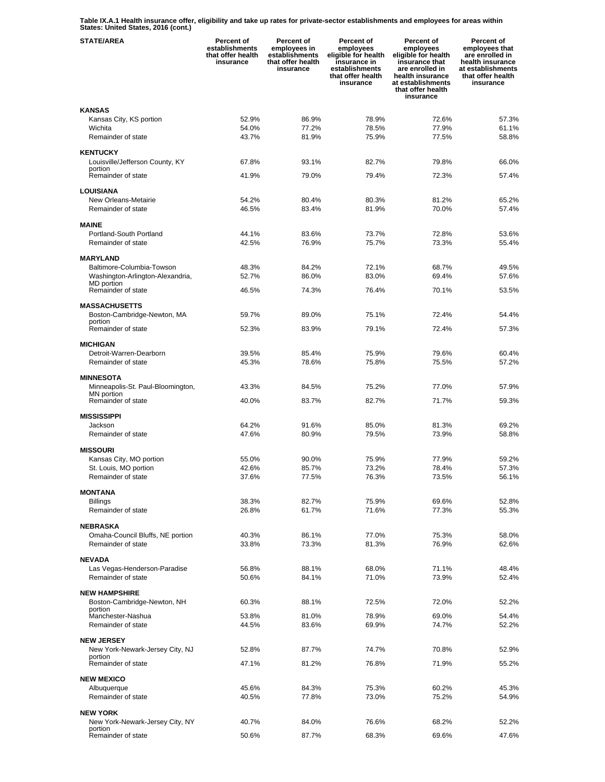**Table IX.A.1 Health insurance offer, eligibility and take up rates for private-sector establishments and employees for areas within States: United States, 2016 (cont.)** 

| <b>STATE/AREA</b>                                  | Percent of<br>establishments<br>that offer health<br>insurance | Percent of<br>employees in<br>establishments<br>that offer health<br>insurance | Percent of<br>employees<br>eligible for health<br>insurance in<br>establishments<br>that offer health<br>insurance | Percent of<br>employees<br>eligible for health<br>insurance that<br>are enrolled in<br>health insurance<br>at establishments<br>that offer health<br>insurance | Percent of<br>employees that<br>are enrolled in<br>health insurance<br>at establishments<br>that offer health<br>insurance |
|----------------------------------------------------|----------------------------------------------------------------|--------------------------------------------------------------------------------|--------------------------------------------------------------------------------------------------------------------|----------------------------------------------------------------------------------------------------------------------------------------------------------------|----------------------------------------------------------------------------------------------------------------------------|
| <b>KANSAS</b>                                      |                                                                |                                                                                |                                                                                                                    |                                                                                                                                                                |                                                                                                                            |
| Kansas City, KS portion                            | 52.9%                                                          | 86.9%                                                                          | 78.9%                                                                                                              | 72.6%                                                                                                                                                          | 57.3%                                                                                                                      |
| Wichita<br>Remainder of state                      | 54.0%<br>43.7%                                                 | 77.2%<br>81.9%                                                                 | 78.5%<br>75.9%                                                                                                     | 77.9%<br>77.5%                                                                                                                                                 | 61.1%<br>58.8%                                                                                                             |
|                                                    |                                                                |                                                                                |                                                                                                                    |                                                                                                                                                                |                                                                                                                            |
| <b>KENTUCKY</b><br>Louisville/Jefferson County, KY | 67.8%                                                          | 93.1%                                                                          | 82.7%                                                                                                              | 79.8%                                                                                                                                                          | 66.0%                                                                                                                      |
| portion                                            |                                                                |                                                                                |                                                                                                                    |                                                                                                                                                                |                                                                                                                            |
| Remainder of state                                 | 41.9%                                                          | 79.0%                                                                          | 79.4%                                                                                                              | 72.3%                                                                                                                                                          | 57.4%                                                                                                                      |
| <b>LOUISIANA</b>                                   |                                                                |                                                                                |                                                                                                                    |                                                                                                                                                                |                                                                                                                            |
| New Orleans-Metairie<br>Remainder of state         | 54.2%<br>46.5%                                                 | 80.4%<br>83.4%                                                                 | 80.3%<br>81.9%                                                                                                     | 81.2%<br>70.0%                                                                                                                                                 | 65.2%<br>57.4%                                                                                                             |
|                                                    |                                                                |                                                                                |                                                                                                                    |                                                                                                                                                                |                                                                                                                            |
| <b>MAINE</b>                                       |                                                                |                                                                                |                                                                                                                    |                                                                                                                                                                |                                                                                                                            |
| Portland-South Portland<br>Remainder of state      | 44.1%<br>42.5%                                                 | 83.6%<br>76.9%                                                                 | 73.7%<br>75.7%                                                                                                     | 72.8%<br>73.3%                                                                                                                                                 | 53.6%<br>55.4%                                                                                                             |
|                                                    |                                                                |                                                                                |                                                                                                                    |                                                                                                                                                                |                                                                                                                            |
| <b>MARYLAND</b><br>Baltimore-Columbia-Towson       | 48.3%                                                          | 84.2%                                                                          | 72.1%                                                                                                              | 68.7%                                                                                                                                                          | 49.5%                                                                                                                      |
| Washington-Arlington-Alexandria,                   | 52.7%                                                          | 86.0%                                                                          | 83.0%                                                                                                              | 69.4%                                                                                                                                                          | 57.6%                                                                                                                      |
| MD portion<br>Remainder of state                   | 46.5%                                                          | 74.3%                                                                          | 76.4%                                                                                                              | 70.1%                                                                                                                                                          | 53.5%                                                                                                                      |
|                                                    |                                                                |                                                                                |                                                                                                                    |                                                                                                                                                                |                                                                                                                            |
| <b>MASSACHUSETTS</b>                               |                                                                |                                                                                |                                                                                                                    |                                                                                                                                                                |                                                                                                                            |
| Boston-Cambridge-Newton, MA<br>portion             | 59.7%                                                          | 89.0%                                                                          | 75.1%                                                                                                              | 72.4%                                                                                                                                                          | 54.4%                                                                                                                      |
| Remainder of state                                 | 52.3%                                                          | 83.9%                                                                          | 79.1%                                                                                                              | 72.4%                                                                                                                                                          | 57.3%                                                                                                                      |
| <b>MICHIGAN</b>                                    |                                                                |                                                                                |                                                                                                                    |                                                                                                                                                                |                                                                                                                            |
| Detroit-Warren-Dearborn                            | 39.5%                                                          | 85.4%                                                                          | 75.9%                                                                                                              | 79.6%                                                                                                                                                          | 60.4%                                                                                                                      |
| Remainder of state                                 | 45.3%                                                          | 78.6%                                                                          | 75.8%                                                                                                              | 75.5%                                                                                                                                                          | 57.2%                                                                                                                      |
| <b>MINNESOTA</b>                                   |                                                                |                                                                                |                                                                                                                    |                                                                                                                                                                |                                                                                                                            |
| Minneapolis-St. Paul-Bloomington,<br>MN portion    | 43.3%                                                          | 84.5%                                                                          | 75.2%                                                                                                              | 77.0%                                                                                                                                                          | 57.9%                                                                                                                      |
| Remainder of state                                 | 40.0%                                                          | 83.7%                                                                          | 82.7%                                                                                                              | 71.7%                                                                                                                                                          | 59.3%                                                                                                                      |
| <b>MISSISSIPPI</b>                                 |                                                                |                                                                                |                                                                                                                    |                                                                                                                                                                |                                                                                                                            |
| Jackson                                            | 64.2%                                                          | 91.6%                                                                          | 85.0%                                                                                                              | 81.3%                                                                                                                                                          | 69.2%                                                                                                                      |
| Remainder of state                                 | 47.6%                                                          | 80.9%                                                                          | 79.5%                                                                                                              | 73.9%                                                                                                                                                          | 58.8%                                                                                                                      |
| <b>MISSOURI</b>                                    |                                                                |                                                                                |                                                                                                                    |                                                                                                                                                                |                                                                                                                            |
| Kansas City, MO portion                            | 55.0%                                                          | 90.0%                                                                          | 75.9%                                                                                                              | 77.9%                                                                                                                                                          | 59.2%                                                                                                                      |
| St. Louis, MO portion<br>Remainder of state        | 42.6%<br>37.6%                                                 | 85.7%<br>77.5%                                                                 | 73.2%<br>76.3%                                                                                                     | 78.4%<br>73.5%                                                                                                                                                 | 57.3%<br>56.1%                                                                                                             |
|                                                    |                                                                |                                                                                |                                                                                                                    |                                                                                                                                                                |                                                                                                                            |
| <b>MONTANA</b>                                     |                                                                | 82.7%                                                                          | 75.9%                                                                                                              |                                                                                                                                                                | 52.8%                                                                                                                      |
| <b>Billings</b><br>Remainder of state              | 38.3%<br>26.8%                                                 | 61.7%                                                                          | 71.6%                                                                                                              | 69.6%<br>77.3%                                                                                                                                                 | 55.3%                                                                                                                      |
|                                                    |                                                                |                                                                                |                                                                                                                    |                                                                                                                                                                |                                                                                                                            |
| NEBRASKA<br>Omaha-Council Bluffs, NE portion       | 40.3%                                                          | 86.1%                                                                          | 77.0%                                                                                                              | 75.3%                                                                                                                                                          | 58.0%                                                                                                                      |
| Remainder of state                                 | 33.8%                                                          | 73.3%                                                                          | 81.3%                                                                                                              | 76.9%                                                                                                                                                          | 62.6%                                                                                                                      |
| <b>NEVADA</b>                                      |                                                                |                                                                                |                                                                                                                    |                                                                                                                                                                |                                                                                                                            |
| Las Vegas-Henderson-Paradise                       | 56.8%                                                          | 88.1%                                                                          | 68.0%                                                                                                              | 71.1%                                                                                                                                                          | 48.4%                                                                                                                      |
| Remainder of state                                 | 50.6%                                                          | 84.1%                                                                          | 71.0%                                                                                                              | 73.9%                                                                                                                                                          | 52.4%                                                                                                                      |
| <b>NEW HAMPSHIRE</b>                               |                                                                |                                                                                |                                                                                                                    |                                                                                                                                                                |                                                                                                                            |
| Boston-Cambridge-Newton, NH                        | 60.3%                                                          | 88.1%                                                                          | 72.5%                                                                                                              | 72.0%                                                                                                                                                          | 52.2%                                                                                                                      |
| portion<br>Manchester-Nashua                       | 53.8%                                                          | 81.0%                                                                          | 78.9%                                                                                                              | 69.0%                                                                                                                                                          | 54.4%                                                                                                                      |
| Remainder of state                                 | 44.5%                                                          | 83.6%                                                                          | 69.9%                                                                                                              | 74.7%                                                                                                                                                          | 52.2%                                                                                                                      |
| <b>NEW JERSEY</b>                                  |                                                                |                                                                                |                                                                                                                    |                                                                                                                                                                |                                                                                                                            |
| New York-Newark-Jersey City, NJ                    | 52.8%                                                          | 87.7%                                                                          | 74.7%                                                                                                              | 70.8%                                                                                                                                                          | 52.9%                                                                                                                      |
| portion<br>Remainder of state                      | 47.1%                                                          | 81.2%                                                                          | 76.8%                                                                                                              | 71.9%                                                                                                                                                          | 55.2%                                                                                                                      |
|                                                    |                                                                |                                                                                |                                                                                                                    |                                                                                                                                                                |                                                                                                                            |
| <b>NEW MEXICO</b><br>Albuquerque                   | 45.6%                                                          | 84.3%                                                                          | 75.3%                                                                                                              | 60.2%                                                                                                                                                          | 45.3%                                                                                                                      |
| Remainder of state                                 | 40.5%                                                          | 77.8%                                                                          | 73.0%                                                                                                              | 75.2%                                                                                                                                                          | 54.9%                                                                                                                      |
| <b>NEW YORK</b>                                    |                                                                |                                                                                |                                                                                                                    |                                                                                                                                                                |                                                                                                                            |
| New York-Newark-Jersey City, NY                    | 40.7%                                                          | 84.0%                                                                          | 76.6%                                                                                                              | 68.2%                                                                                                                                                          | 52.2%                                                                                                                      |
| portion<br>Remainder of state                      | 50.6%                                                          | 87.7%                                                                          | 68.3%                                                                                                              | 69.6%                                                                                                                                                          | 47.6%                                                                                                                      |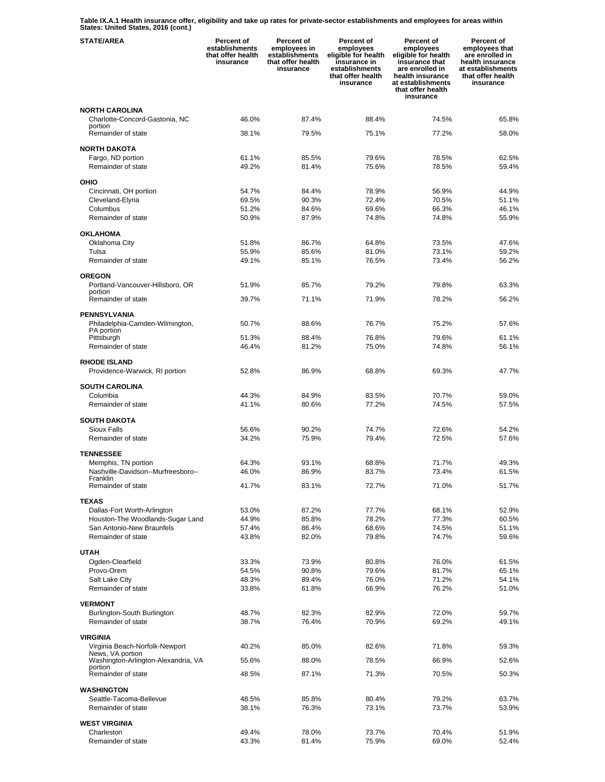**Table IX.A.1 Health insurance offer, eligibility and take up rates for private-sector establishments and employees for areas within States: United States, 2016 (cont.)** 

| <b>STATE/AREA</b>                                       | Percent of<br>establishments<br>that offer health<br>insurance | Percent of<br>employees in<br>establishments<br>that offer health<br>insurance | Percent of<br>employees<br>eligible for health<br>insurance in<br>establishments<br>that offer health<br>insurance | Percent of<br>employees<br>eligible for health<br>insurance that<br>are enrolled in<br>health insurance<br>at establishments<br>that offer health<br>insurance | Percent of<br>employees that<br>are enrolled in<br>health insurance<br>at establishments<br>that offer health<br>insurance |
|---------------------------------------------------------|----------------------------------------------------------------|--------------------------------------------------------------------------------|--------------------------------------------------------------------------------------------------------------------|----------------------------------------------------------------------------------------------------------------------------------------------------------------|----------------------------------------------------------------------------------------------------------------------------|
| <b>NORTH CAROLINA</b>                                   |                                                                |                                                                                |                                                                                                                    |                                                                                                                                                                |                                                                                                                            |
| Charlotte-Concord-Gastonia, NC                          | 46.0%                                                          | 87.4%                                                                          | 88.4%                                                                                                              | 74.5%                                                                                                                                                          | 65.8%                                                                                                                      |
| portion<br>Remainder of state                           | 38.1%                                                          | 79.5%                                                                          | 75.1%                                                                                                              | 77.2%                                                                                                                                                          | 58.0%                                                                                                                      |
|                                                         |                                                                |                                                                                |                                                                                                                    |                                                                                                                                                                |                                                                                                                            |
| <b>NORTH DAKOTA</b><br>Fargo, ND portion                | 61.1%                                                          | 85.5%                                                                          | 79.6%                                                                                                              | 78.5%                                                                                                                                                          | 62.5%                                                                                                                      |
| Remainder of state                                      | 49.2%                                                          | 81.4%                                                                          | 75.6%                                                                                                              | 78.5%                                                                                                                                                          | 59.4%                                                                                                                      |
|                                                         |                                                                |                                                                                |                                                                                                                    |                                                                                                                                                                |                                                                                                                            |
| <b>OHIO</b>                                             | 54.7%                                                          | 84.4%                                                                          | 78.9%                                                                                                              | 56.9%                                                                                                                                                          | 44.9%                                                                                                                      |
| Cincinnati, OH portion<br>Cleveland-Elyria              | 69.5%                                                          | 90.3%                                                                          | 72.4%                                                                                                              | 70.5%                                                                                                                                                          | 51.1%                                                                                                                      |
| Columbus                                                | 51.2%                                                          | 84.6%                                                                          | 69.6%                                                                                                              | 66.3%                                                                                                                                                          | 46.1%                                                                                                                      |
| Remainder of state                                      | 50.9%                                                          | 87.9%                                                                          | 74.8%                                                                                                              | 74.8%                                                                                                                                                          | 55.9%                                                                                                                      |
|                                                         |                                                                |                                                                                |                                                                                                                    |                                                                                                                                                                |                                                                                                                            |
| <b>OKLAHOMA</b><br>Oklahoma City                        | 51.8%                                                          | 86.7%                                                                          | 64.8%                                                                                                              | 73.5%                                                                                                                                                          | 47.6%                                                                                                                      |
| Tulsa                                                   | 55.9%                                                          | 85.6%                                                                          | 81.0%                                                                                                              | 73.1%                                                                                                                                                          | 59.2%                                                                                                                      |
| Remainder of state                                      | 49.1%                                                          | 85.1%                                                                          | 76.5%                                                                                                              | 73.4%                                                                                                                                                          | 56.2%                                                                                                                      |
|                                                         |                                                                |                                                                                |                                                                                                                    |                                                                                                                                                                |                                                                                                                            |
| <b>OREGON</b><br>Portland-Vancouver-Hillsboro, OR       | 51.9%                                                          | 85.7%                                                                          | 79.2%                                                                                                              | 79.8%                                                                                                                                                          | 63.3%                                                                                                                      |
| portion                                                 |                                                                |                                                                                |                                                                                                                    |                                                                                                                                                                |                                                                                                                            |
| Remainder of state                                      | 39.7%                                                          | 71.1%                                                                          | 71.9%                                                                                                              | 78.2%                                                                                                                                                          | 56.2%                                                                                                                      |
| <b>PENNSYLVANIA</b>                                     |                                                                |                                                                                |                                                                                                                    |                                                                                                                                                                |                                                                                                                            |
| Philadelphia-Camden-Wilmington,                         | 50.7%                                                          | 88.6%                                                                          | 76.7%                                                                                                              | 75.2%                                                                                                                                                          | 57.6%                                                                                                                      |
| PA portion<br>Pittsburgh                                | 51.3%                                                          | 88.4%                                                                          | 76.8%                                                                                                              | 79.6%                                                                                                                                                          | 61.1%                                                                                                                      |
| Remainder of state                                      | 46.4%                                                          | 81.2%                                                                          | 75.0%                                                                                                              | 74.8%                                                                                                                                                          | 56.1%                                                                                                                      |
|                                                         |                                                                |                                                                                |                                                                                                                    |                                                                                                                                                                |                                                                                                                            |
| <b>RHODE ISLAND</b>                                     | 52.8%                                                          | 86.9%                                                                          | 68.8%                                                                                                              | 69.3%                                                                                                                                                          | 47.7%                                                                                                                      |
| Providence-Warwick, RI portion                          |                                                                |                                                                                |                                                                                                                    |                                                                                                                                                                |                                                                                                                            |
| <b>SOUTH CAROLINA</b>                                   |                                                                |                                                                                |                                                                                                                    |                                                                                                                                                                |                                                                                                                            |
| Columbia                                                | 44.3%                                                          | 84.9%                                                                          | 83.5%                                                                                                              | 70.7%                                                                                                                                                          | 59.0%                                                                                                                      |
| Remainder of state                                      | 41.1%                                                          | 80.6%                                                                          | 77.2%                                                                                                              | 74.5%                                                                                                                                                          | 57.5%                                                                                                                      |
| <b>SOUTH DAKOTA</b>                                     |                                                                |                                                                                |                                                                                                                    |                                                                                                                                                                |                                                                                                                            |
| Sioux Falls                                             | 56.6%                                                          | 90.2%                                                                          | 74.7%                                                                                                              | 72.6%                                                                                                                                                          | 54.2%                                                                                                                      |
| Remainder of state                                      | 34.2%                                                          | 75.9%                                                                          | 79.4%                                                                                                              | 72.5%                                                                                                                                                          | 57.6%                                                                                                                      |
| <b>TENNESSEE</b>                                        |                                                                |                                                                                |                                                                                                                    |                                                                                                                                                                |                                                                                                                            |
| Memphis, TN portion                                     | 64.3%                                                          | 93.1%                                                                          | 68.8%                                                                                                              | 71.7%                                                                                                                                                          | 49.3%                                                                                                                      |
| Nashville-Davidson--Murfreesboro--                      | 46.0%                                                          | 86.9%                                                                          | 83.7%                                                                                                              | 73.4%                                                                                                                                                          | 61.5%                                                                                                                      |
| Franklin<br>Remainder of state                          | 41.7%                                                          | 83.1%                                                                          | 72.7%                                                                                                              | 71.0%                                                                                                                                                          | 51.7%                                                                                                                      |
|                                                         |                                                                |                                                                                |                                                                                                                    |                                                                                                                                                                |                                                                                                                            |
| <b>TEXAS</b><br>Dallas-Fort Worth-Arlington             | 53.0%                                                          | 87.2%                                                                          | 77.7%                                                                                                              | 68.1%                                                                                                                                                          | 52.9%                                                                                                                      |
| Houston-The Woodlands-Sugar Land                        | 44.9%                                                          | 85.8%                                                                          | 78.2%                                                                                                              | 77.3%                                                                                                                                                          | 60.5%                                                                                                                      |
| San Antonio-New Braunfels                               | 57.4%                                                          | 86.4%                                                                          | 68.6%                                                                                                              | 74.5%                                                                                                                                                          | 51.1%                                                                                                                      |
| Remainder of state                                      | 43.8%                                                          | 82.0%                                                                          | 79.8%                                                                                                              | 74.7%                                                                                                                                                          | 59.6%                                                                                                                      |
| <b>UTAH</b>                                             |                                                                |                                                                                |                                                                                                                    |                                                                                                                                                                |                                                                                                                            |
| Ogden-Clearfield                                        | 33.3%                                                          | 73.9%                                                                          | 80.8%                                                                                                              | 76.0%                                                                                                                                                          | 61.5%                                                                                                                      |
| Provo-Orem                                              | 54.5%                                                          | 90.8%                                                                          | 79.6%                                                                                                              | 81.7%                                                                                                                                                          | 65.1%                                                                                                                      |
| Salt Lake City                                          | 48.3%                                                          | 89.4%                                                                          | 76.0%                                                                                                              | 71.2%                                                                                                                                                          | 54.1%                                                                                                                      |
| Remainder of state                                      | 33.8%                                                          | 61.8%                                                                          | 66.9%                                                                                                              | 76.2%                                                                                                                                                          | 51.0%                                                                                                                      |
| <b>VERMONT</b>                                          |                                                                |                                                                                |                                                                                                                    |                                                                                                                                                                |                                                                                                                            |
| Burlington-South Burlington                             | 48.7%                                                          | 82.3%                                                                          | 82.9%                                                                                                              | 72.0%                                                                                                                                                          | 59.7%                                                                                                                      |
| Remainder of state                                      | 38.7%                                                          | 76.4%                                                                          | 70.9%                                                                                                              | 69.2%                                                                                                                                                          | 49.1%                                                                                                                      |
| <b>VIRGINIA</b>                                         |                                                                |                                                                                |                                                                                                                    |                                                                                                                                                                |                                                                                                                            |
| Virginia Beach-Norfolk-Newport                          | 40.2%                                                          | 85.0%                                                                          | 82.6%                                                                                                              | 71.8%                                                                                                                                                          | 59.3%                                                                                                                      |
| News, VA portion<br>Washington-Arlington-Alexandria, VA | 55.6%                                                          | 88.0%                                                                          | 78.5%                                                                                                              | 66.9%                                                                                                                                                          | 52.6%                                                                                                                      |
| portion                                                 |                                                                |                                                                                |                                                                                                                    |                                                                                                                                                                |                                                                                                                            |
| Remainder of state                                      | 48.5%                                                          | 87.1%                                                                          | 71.3%                                                                                                              | 70.5%                                                                                                                                                          | 50.3%                                                                                                                      |
| <b>WASHINGTON</b>                                       |                                                                |                                                                                |                                                                                                                    |                                                                                                                                                                |                                                                                                                            |
| Seattle-Tacoma-Bellevue                                 | 48.5%                                                          | 85.8%                                                                          | 80.4%                                                                                                              | 79.2%                                                                                                                                                          | 63.7%                                                                                                                      |
| Remainder of state                                      | 38.1%                                                          | 76.3%                                                                          | 73.1%                                                                                                              | 73.7%                                                                                                                                                          | 53.9%                                                                                                                      |
| <b>WEST VIRGINIA</b>                                    |                                                                |                                                                                |                                                                                                                    |                                                                                                                                                                |                                                                                                                            |
| Charleston                                              | 49.4%                                                          | 78.0%                                                                          | 73.7%                                                                                                              | 70.4%                                                                                                                                                          | 51.9%                                                                                                                      |
| Remainder of state                                      | 43.3%                                                          | 81.4%                                                                          | 75.9%                                                                                                              | 69.0%                                                                                                                                                          | 52.4%                                                                                                                      |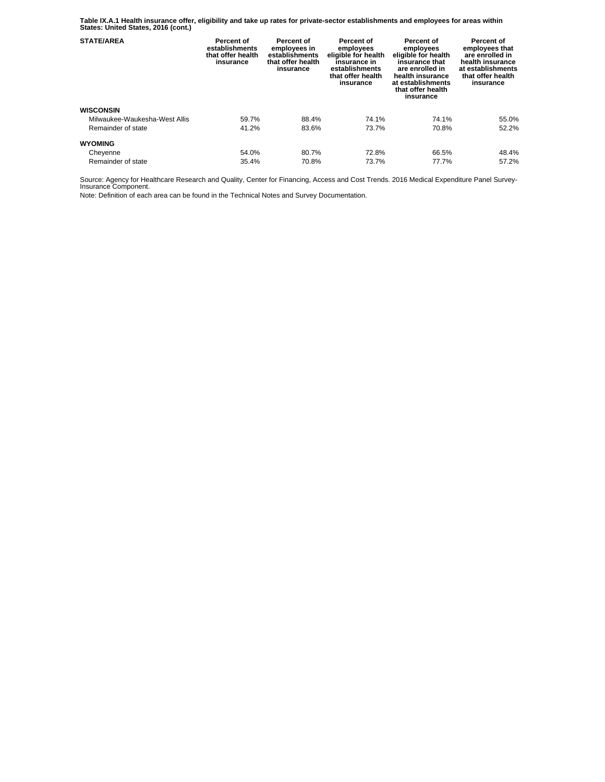**Table IX.A.1 Health insurance offer, eligibility and take up rates for private-sector establishments and employees for areas within States: United States, 2016 (cont.)** 

| <b>STATE/AREA</b>             | Percent of<br>establishments<br>that offer health<br>insurance | Percent of<br>employees in<br>establishments<br>that offer health<br>insurance | Percent of<br>employees<br>eligible for health<br>insurance in<br>establishments<br>that offer health<br>insurance | Percent of<br>employees<br>eligible for health<br>insurance that<br>are enrolled in<br>health insurance<br>at establishments<br>that offer health<br>insurance | Percent of<br>employees that<br>are enrolled in<br>health insurance<br>at establishments<br>that offer health<br>insurance |
|-------------------------------|----------------------------------------------------------------|--------------------------------------------------------------------------------|--------------------------------------------------------------------------------------------------------------------|----------------------------------------------------------------------------------------------------------------------------------------------------------------|----------------------------------------------------------------------------------------------------------------------------|
| <b>WISCONSIN</b>              |                                                                |                                                                                |                                                                                                                    |                                                                                                                                                                |                                                                                                                            |
| Milwaukee-Waukesha-West Allis | 59.7%                                                          | 88.4%                                                                          | 74.1%                                                                                                              | 74.1%                                                                                                                                                          | 55.0%                                                                                                                      |
| Remainder of state            | 41.2%                                                          | 83.6%                                                                          | 73.7%                                                                                                              | 70.8%                                                                                                                                                          | 52.2%                                                                                                                      |
| <b>WYOMING</b>                |                                                                |                                                                                |                                                                                                                    |                                                                                                                                                                |                                                                                                                            |
| Cheyenne                      | 54.0%                                                          | 80.7%                                                                          | 72.8%                                                                                                              | 66.5%                                                                                                                                                          | 48.4%                                                                                                                      |
| Remainder of state            | 35.4%                                                          | 70.8%                                                                          | 73.7%                                                                                                              | 77.7%                                                                                                                                                          | 57.2%                                                                                                                      |

Source: Agency for Healthcare Research and Quality, Center for Financing, Access and Cost Trends. 2016 Medical Expenditure Panel Survey-Insurance Component.

Note: Definition of each area can be found in the Technical Notes and Survey Documentation.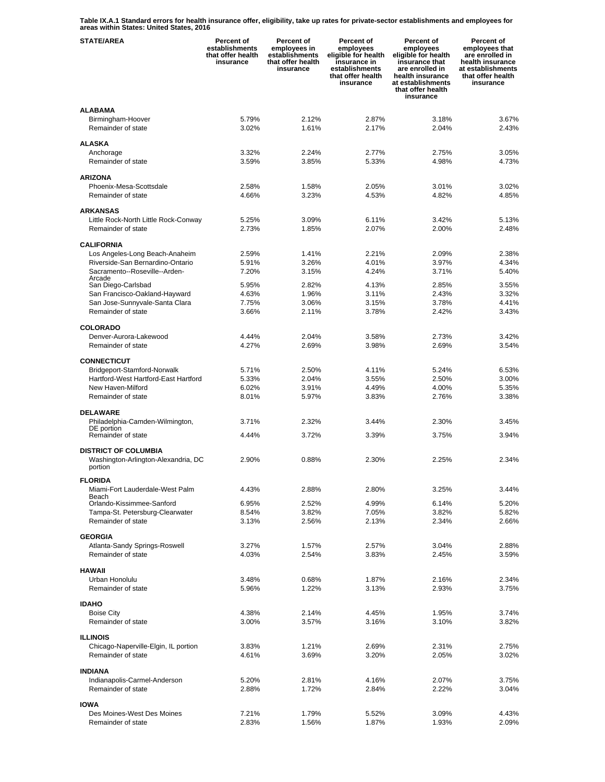**Table IX.A.1 Standard errors for health insurance offer, eligibility, take up rates for private-sector establishments and employees for areas within States: United States, 2016** 

| <b>STATE/AREA</b>                                                 | Percent of<br>establishments<br>that offer health<br>insurance | Percent of<br>employees in<br>establishments<br>that offer health<br>insurance | Percent of<br>employees<br>eligible for health<br>insurance in<br>establishments<br>that offer health<br>insurance | Percent of<br>employees<br>eligible for health<br>insurance that<br>are enrolled in<br>health insurance<br>at establishments<br>that offer health<br>insurance | Percent of<br>employees that<br>are enrolled in<br>health insurance<br>at establishments<br>that offer health<br>insurance |
|-------------------------------------------------------------------|----------------------------------------------------------------|--------------------------------------------------------------------------------|--------------------------------------------------------------------------------------------------------------------|----------------------------------------------------------------------------------------------------------------------------------------------------------------|----------------------------------------------------------------------------------------------------------------------------|
| <b>ALABAMA</b>                                                    |                                                                |                                                                                |                                                                                                                    |                                                                                                                                                                |                                                                                                                            |
| Birmingham-Hoover                                                 | 5.79%                                                          | 2.12%                                                                          | 2.87%                                                                                                              | 3.18%                                                                                                                                                          | 3.67%                                                                                                                      |
| Remainder of state                                                | 3.02%                                                          | 1.61%                                                                          | 2.17%                                                                                                              | 2.04%                                                                                                                                                          | 2.43%                                                                                                                      |
| <b>ALASKA</b>                                                     |                                                                |                                                                                |                                                                                                                    |                                                                                                                                                                |                                                                                                                            |
| Anchorage                                                         | 3.32%                                                          | 2.24%                                                                          | 2.77%                                                                                                              | 2.75%                                                                                                                                                          | 3.05%                                                                                                                      |
| Remainder of state                                                | 3.59%                                                          | 3.85%                                                                          | 5.33%                                                                                                              | 4.98%                                                                                                                                                          | 4.73%                                                                                                                      |
| <b>ARIZONA</b>                                                    |                                                                |                                                                                |                                                                                                                    |                                                                                                                                                                |                                                                                                                            |
| Phoenix-Mesa-Scottsdale                                           | 2.58%                                                          | 1.58%                                                                          | 2.05%                                                                                                              | 3.01%                                                                                                                                                          | 3.02%                                                                                                                      |
| Remainder of state                                                | 4.66%                                                          | 3.23%                                                                          | 4.53%                                                                                                              | 4.82%                                                                                                                                                          | 4.85%                                                                                                                      |
|                                                                   |                                                                |                                                                                |                                                                                                                    |                                                                                                                                                                |                                                                                                                            |
| <b>ARKANSAS</b>                                                   |                                                                |                                                                                |                                                                                                                    |                                                                                                                                                                |                                                                                                                            |
| Little Rock-North Little Rock-Conway<br>Remainder of state        | 5.25%<br>2.73%                                                 | 3.09%<br>1.85%                                                                 | 6.11%<br>2.07%                                                                                                     | 3.42%<br>2.00%                                                                                                                                                 | 5.13%<br>2.48%                                                                                                             |
|                                                                   |                                                                |                                                                                |                                                                                                                    |                                                                                                                                                                |                                                                                                                            |
| <b>CALIFORNIA</b>                                                 |                                                                |                                                                                |                                                                                                                    |                                                                                                                                                                |                                                                                                                            |
| Los Angeles-Long Beach-Anaheim                                    | 2.59%                                                          | 1.41%                                                                          | 2.21%                                                                                                              | 2.09%                                                                                                                                                          | 2.38%                                                                                                                      |
| Riverside-San Bernardino-Ontario<br>Sacramento--Roseville--Arden- | 5.91%<br>7.20%                                                 | 3.26%<br>3.15%                                                                 | 4.01%<br>4.24%                                                                                                     | 3.97%<br>3.71%                                                                                                                                                 | 4.34%<br>5.40%                                                                                                             |
| Arcade                                                            |                                                                |                                                                                |                                                                                                                    |                                                                                                                                                                |                                                                                                                            |
| San Diego-Carlsbad                                                | 5.95%                                                          | 2.82%                                                                          | 4.13%                                                                                                              | 2.85%                                                                                                                                                          | 3.55%                                                                                                                      |
| San Francisco-Oakland-Hayward<br>San Jose-Sunnyvale-Santa Clara   | 4.63%<br>7.75%                                                 | 1.96%<br>3.06%                                                                 | 3.11%<br>3.15%                                                                                                     | 2.43%<br>3.78%                                                                                                                                                 | 3.32%<br>4.41%                                                                                                             |
| Remainder of state                                                | 3.66%                                                          | 2.11%                                                                          | 3.78%                                                                                                              | 2.42%                                                                                                                                                          | 3.43%                                                                                                                      |
|                                                                   |                                                                |                                                                                |                                                                                                                    |                                                                                                                                                                |                                                                                                                            |
| <b>COLORADO</b>                                                   |                                                                |                                                                                |                                                                                                                    |                                                                                                                                                                |                                                                                                                            |
| Denver-Aurora-Lakewood<br>Remainder of state                      | 4.44%<br>4.27%                                                 | 2.04%<br>2.69%                                                                 | 3.58%<br>3.98%                                                                                                     | 2.73%<br>2.69%                                                                                                                                                 | 3.42%<br>3.54%                                                                                                             |
|                                                                   |                                                                |                                                                                |                                                                                                                    |                                                                                                                                                                |                                                                                                                            |
| <b>CONNECTICUT</b>                                                |                                                                |                                                                                |                                                                                                                    |                                                                                                                                                                |                                                                                                                            |
| Bridgeport-Stamford-Norwalk                                       | 5.71%                                                          | 2.50%                                                                          | 4.11%                                                                                                              | 5.24%                                                                                                                                                          | 6.53%                                                                                                                      |
| Hartford-West Hartford-East Hartford<br>New Haven-Milford         | 5.33%<br>6.02%                                                 | 2.04%<br>3.91%                                                                 | 3.55%<br>4.49%                                                                                                     | 2.50%<br>4.00%                                                                                                                                                 | 3.00%<br>5.35%                                                                                                             |
| Remainder of state                                                | 8.01%                                                          | 5.97%                                                                          | 3.83%                                                                                                              | 2.76%                                                                                                                                                          | 3.38%                                                                                                                      |
|                                                                   |                                                                |                                                                                |                                                                                                                    |                                                                                                                                                                |                                                                                                                            |
| <b>DELAWARE</b>                                                   |                                                                |                                                                                |                                                                                                                    |                                                                                                                                                                |                                                                                                                            |
| Philadelphia-Camden-Wilmington,<br>DE portion                     | 3.71%                                                          | 2.32%                                                                          | 3.44%                                                                                                              | 2.30%                                                                                                                                                          | 3.45%                                                                                                                      |
| Remainder of state                                                | 4.44%                                                          | 3.72%                                                                          | 3.39%                                                                                                              | 3.75%                                                                                                                                                          | 3.94%                                                                                                                      |
| <b>DISTRICT OF COLUMBIA</b>                                       |                                                                |                                                                                |                                                                                                                    |                                                                                                                                                                |                                                                                                                            |
| Washington-Arlington-Alexandria, DC                               | 2.90%                                                          | 0.88%                                                                          | 2.30%                                                                                                              | 2.25%                                                                                                                                                          | 2.34%                                                                                                                      |
| portion                                                           |                                                                |                                                                                |                                                                                                                    |                                                                                                                                                                |                                                                                                                            |
| <b>FLORIDA</b>                                                    |                                                                |                                                                                |                                                                                                                    |                                                                                                                                                                |                                                                                                                            |
| Miami-Fort Lauderdale-West Palm                                   | 4.43%                                                          | 2.88%                                                                          | 2.80%                                                                                                              | 3.25%                                                                                                                                                          | 3.44%                                                                                                                      |
| Beach<br>Orlando-Kissimmee-Sanford                                | 6.95%                                                          | 2.52%                                                                          | 4.99%                                                                                                              | 6.14%                                                                                                                                                          | 5.20%                                                                                                                      |
| Tampa-St. Petersburg-Clearwater                                   | 8.54%                                                          | 3.82%                                                                          | 7.05%                                                                                                              | 3.82%                                                                                                                                                          | 5.82%                                                                                                                      |
| Remainder of state                                                | 3.13%                                                          | 2.56%                                                                          | 2.13%                                                                                                              | 2.34%                                                                                                                                                          | 2.66%                                                                                                                      |
| <b>GEORGIA</b>                                                    |                                                                |                                                                                |                                                                                                                    |                                                                                                                                                                |                                                                                                                            |
| Atlanta-Sandy Springs-Roswell                                     | 3.27%                                                          | 1.57%                                                                          | 2.57%                                                                                                              | 3.04%                                                                                                                                                          | 2.88%                                                                                                                      |
| Remainder of state                                                | 4.03%                                                          | 2.54%                                                                          | 3.83%                                                                                                              | 2.45%                                                                                                                                                          | 3.59%                                                                                                                      |
| <b>HAWAII</b>                                                     |                                                                |                                                                                |                                                                                                                    |                                                                                                                                                                |                                                                                                                            |
| Urban Honolulu                                                    | 3.48%                                                          | $0.68\%$                                                                       | 1.87%                                                                                                              | 2.16%                                                                                                                                                          | 2.34%                                                                                                                      |
| Remainder of state                                                | 5.96%                                                          | 1.22%                                                                          | 3.13%                                                                                                              | 2.93%                                                                                                                                                          | 3.75%                                                                                                                      |
|                                                                   |                                                                |                                                                                |                                                                                                                    |                                                                                                                                                                |                                                                                                                            |
| <b>IDAHO</b><br><b>Boise City</b>                                 | 4.38%                                                          | 2.14%                                                                          | 4.45%                                                                                                              | 1.95%                                                                                                                                                          | 3.74%                                                                                                                      |
| Remainder of state                                                | 3.00%                                                          | 3.57%                                                                          | 3.16%                                                                                                              | 3.10%                                                                                                                                                          | 3.82%                                                                                                                      |
|                                                                   |                                                                |                                                                                |                                                                                                                    |                                                                                                                                                                |                                                                                                                            |
| <b>ILLINOIS</b>                                                   |                                                                |                                                                                |                                                                                                                    |                                                                                                                                                                |                                                                                                                            |
| Chicago-Naperville-Elgin, IL portion<br>Remainder of state        | 3.83%<br>4.61%                                                 | 1.21%<br>3.69%                                                                 | 2.69%<br>3.20%                                                                                                     | 2.31%<br>2.05%                                                                                                                                                 | 2.75%<br>3.02%                                                                                                             |
|                                                                   |                                                                |                                                                                |                                                                                                                    |                                                                                                                                                                |                                                                                                                            |
| <b>INDIANA</b>                                                    |                                                                |                                                                                |                                                                                                                    |                                                                                                                                                                |                                                                                                                            |
| Indianapolis-Carmel-Anderson                                      | 5.20%                                                          | 2.81%                                                                          | 4.16%                                                                                                              | 2.07%                                                                                                                                                          | 3.75%                                                                                                                      |
| Remainder of state                                                | 2.88%                                                          | 1.72%                                                                          | 2.84%                                                                                                              | 2.22%                                                                                                                                                          | 3.04%                                                                                                                      |
| <b>IOWA</b>                                                       |                                                                |                                                                                |                                                                                                                    |                                                                                                                                                                |                                                                                                                            |
| Des Moines-West Des Moines                                        | 7.21%                                                          | 1.79%                                                                          | 5.52%                                                                                                              | 3.09%                                                                                                                                                          | 4.43%                                                                                                                      |
| Remainder of state                                                | 2.83%                                                          | 1.56%                                                                          | 1.87%                                                                                                              | 1.93%                                                                                                                                                          | 2.09%                                                                                                                      |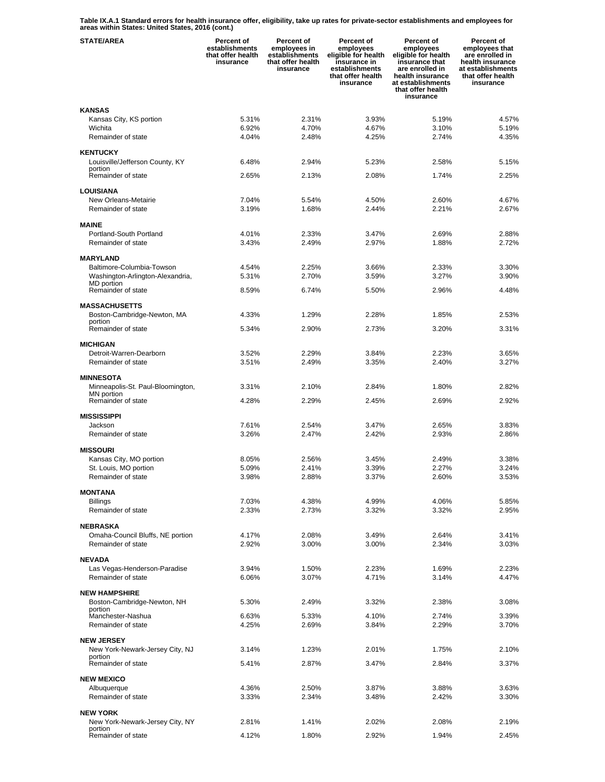**Table IX.A.1 Standard errors for health insurance offer, eligibility, take up rates for private-sector establishments and employees for areas within States: United States, 2016 (cont.)** 

| <b>STATE/AREA</b>                                  | <b>Percent of</b><br>establishments<br>that offer health<br>insurance | Percent of<br>employees in<br>establishments<br>that offer health<br>insurance | <b>Percent of</b><br>employees<br>eligible for health<br>insurance in<br>establishments<br>that offer health<br>insurance | <b>Percent of</b><br>employees<br>eligible for health<br>insurance that<br>are enrolled in<br>health insurance<br>at establishments<br>that offer health<br>insurance | <b>Percent of</b><br>employees that<br>are enrolled in<br>health insurance<br>at establishments<br>that offer health<br>insurance |
|----------------------------------------------------|-----------------------------------------------------------------------|--------------------------------------------------------------------------------|---------------------------------------------------------------------------------------------------------------------------|-----------------------------------------------------------------------------------------------------------------------------------------------------------------------|-----------------------------------------------------------------------------------------------------------------------------------|
| <b>KANSAS</b>                                      |                                                                       |                                                                                |                                                                                                                           |                                                                                                                                                                       |                                                                                                                                   |
| Kansas City, KS portion                            | 5.31%                                                                 | 2.31%                                                                          | 3.93%                                                                                                                     | 5.19%                                                                                                                                                                 | 4.57%                                                                                                                             |
| Wichita<br>Remainder of state                      | 6.92%<br>4.04%                                                        | 4.70%<br>2.48%                                                                 | 4.67%<br>4.25%                                                                                                            | 3.10%<br>2.74%                                                                                                                                                        | 5.19%<br>4.35%                                                                                                                    |
|                                                    |                                                                       |                                                                                |                                                                                                                           |                                                                                                                                                                       |                                                                                                                                   |
| <b>KENTUCKY</b>                                    |                                                                       |                                                                                |                                                                                                                           |                                                                                                                                                                       | 5.15%                                                                                                                             |
| Louisville/Jefferson County, KY<br>portion         | 6.48%                                                                 | 2.94%                                                                          | 5.23%                                                                                                                     | 2.58%                                                                                                                                                                 |                                                                                                                                   |
| Remainder of state                                 | 2.65%                                                                 | 2.13%                                                                          | 2.08%                                                                                                                     | 1.74%                                                                                                                                                                 | 2.25%                                                                                                                             |
| LOUISIANA                                          |                                                                       |                                                                                |                                                                                                                           |                                                                                                                                                                       |                                                                                                                                   |
| New Orleans-Metairie                               | 7.04%                                                                 | 5.54%                                                                          | 4.50%                                                                                                                     | 2.60%                                                                                                                                                                 | 4.67%                                                                                                                             |
| Remainder of state                                 | 3.19%                                                                 | 1.68%                                                                          | 2.44%                                                                                                                     | 2.21%                                                                                                                                                                 | 2.67%                                                                                                                             |
| <b>MAINE</b>                                       |                                                                       |                                                                                |                                                                                                                           |                                                                                                                                                                       |                                                                                                                                   |
| Portland-South Portland                            | 4.01%                                                                 | 2.33%                                                                          | 3.47%                                                                                                                     | 2.69%                                                                                                                                                                 | 2.88%                                                                                                                             |
| Remainder of state                                 | 3.43%                                                                 | 2.49%                                                                          | 2.97%                                                                                                                     | 1.88%                                                                                                                                                                 | 2.72%                                                                                                                             |
| <b>MARYLAND</b>                                    |                                                                       |                                                                                |                                                                                                                           |                                                                                                                                                                       |                                                                                                                                   |
| Baltimore-Columbia-Towson                          | 4.54%                                                                 | 2.25%                                                                          | 3.66%                                                                                                                     | 2.33%                                                                                                                                                                 | 3.30%                                                                                                                             |
| Washington-Arlington-Alexandria,<br>MD portion     | 5.31%                                                                 | 2.70%                                                                          | 3.59%                                                                                                                     | 3.27%                                                                                                                                                                 | 3.90%                                                                                                                             |
| Remainder of state                                 | 8.59%                                                                 | 6.74%                                                                          | 5.50%                                                                                                                     | 2.96%                                                                                                                                                                 | 4.48%                                                                                                                             |
| <b>MASSACHUSETTS</b>                               |                                                                       |                                                                                |                                                                                                                           |                                                                                                                                                                       |                                                                                                                                   |
| Boston-Cambridge-Newton, MA                        | 4.33%                                                                 | 1.29%                                                                          | 2.28%                                                                                                                     | 1.85%                                                                                                                                                                 | 2.53%                                                                                                                             |
| portion                                            |                                                                       |                                                                                |                                                                                                                           |                                                                                                                                                                       |                                                                                                                                   |
| Remainder of state                                 | 5.34%                                                                 | 2.90%                                                                          | 2.73%                                                                                                                     | 3.20%                                                                                                                                                                 | 3.31%                                                                                                                             |
| <b>MICHIGAN</b>                                    |                                                                       |                                                                                |                                                                                                                           |                                                                                                                                                                       |                                                                                                                                   |
| Detroit-Warren-Dearborn                            | 3.52%                                                                 | 2.29%                                                                          | 3.84%                                                                                                                     | 2.23%                                                                                                                                                                 | 3.65%                                                                                                                             |
| Remainder of state                                 | 3.51%                                                                 | 2.49%                                                                          | 3.35%                                                                                                                     | 2.40%                                                                                                                                                                 | 3.27%                                                                                                                             |
| <b>MINNESOTA</b>                                   |                                                                       |                                                                                |                                                                                                                           |                                                                                                                                                                       |                                                                                                                                   |
| Minneapolis-St. Paul-Bloomington,<br>MN portion    | 3.31%                                                                 | 2.10%                                                                          | 2.84%                                                                                                                     | 1.80%                                                                                                                                                                 | 2.82%                                                                                                                             |
| Remainder of state                                 | 4.28%                                                                 | 2.29%                                                                          | 2.45%                                                                                                                     | 2.69%                                                                                                                                                                 | 2.92%                                                                                                                             |
| <b>MISSISSIPPI</b>                                 |                                                                       |                                                                                |                                                                                                                           |                                                                                                                                                                       |                                                                                                                                   |
| Jackson                                            | 7.61%                                                                 | 2.54%                                                                          | 3.47%                                                                                                                     | 2.65%                                                                                                                                                                 | 3.83%                                                                                                                             |
| Remainder of state                                 | 3.26%                                                                 | 2.47%                                                                          | 2.42%                                                                                                                     | 2.93%                                                                                                                                                                 | 2.86%                                                                                                                             |
| <b>MISSOURI</b>                                    |                                                                       |                                                                                |                                                                                                                           |                                                                                                                                                                       |                                                                                                                                   |
| Kansas City, MO portion                            | 8.05%                                                                 | 2.56%                                                                          | 3.45%                                                                                                                     | 2.49%                                                                                                                                                                 | 3.38%                                                                                                                             |
| St. Louis, MO portion                              | 5.09%                                                                 | 2.41%                                                                          | 3.39%                                                                                                                     | 2.27%                                                                                                                                                                 | 3.24%                                                                                                                             |
| Remainder of state                                 | 3.98%                                                                 | 2.88%                                                                          | 3.37%                                                                                                                     | 2.60%                                                                                                                                                                 | 3.53%                                                                                                                             |
| <b>MONTANA</b>                                     |                                                                       |                                                                                |                                                                                                                           |                                                                                                                                                                       |                                                                                                                                   |
| <b>Billings</b>                                    | 7.03%                                                                 | 4.38%                                                                          | 4.99%                                                                                                                     | 4.06%                                                                                                                                                                 | 5.85%                                                                                                                             |
| Remainder of state                                 | 2.33%                                                                 | 2.73%                                                                          | 3.32%                                                                                                                     | 3.32%                                                                                                                                                                 | 2.95%                                                                                                                             |
| NEBRASKA                                           |                                                                       |                                                                                |                                                                                                                           |                                                                                                                                                                       |                                                                                                                                   |
| Omaha-Council Bluffs, NE portion                   | 4.17%                                                                 | 2.08%                                                                          | 3.49%                                                                                                                     | 2.64%                                                                                                                                                                 | 3.41%                                                                                                                             |
| Remainder of state                                 | 2.92%                                                                 | 3.00%                                                                          | 3.00%                                                                                                                     | 2.34%                                                                                                                                                                 | 3.03%                                                                                                                             |
| <b>NEVADA</b>                                      |                                                                       |                                                                                |                                                                                                                           |                                                                                                                                                                       |                                                                                                                                   |
| Las Vegas-Henderson-Paradise                       | 3.94%                                                                 | 1.50%                                                                          | 2.23%                                                                                                                     | 1.69%                                                                                                                                                                 | 2.23%                                                                                                                             |
| Remainder of state                                 | 6.06%                                                                 | 3.07%                                                                          | 4.71%                                                                                                                     | 3.14%                                                                                                                                                                 | 4.47%                                                                                                                             |
| <b>NEW HAMPSHIRE</b>                               |                                                                       |                                                                                |                                                                                                                           |                                                                                                                                                                       |                                                                                                                                   |
| Boston-Cambridge-Newton, NH<br>portion             | 5.30%                                                                 | 2.49%                                                                          | 3.32%                                                                                                                     | 2.38%                                                                                                                                                                 | 3.08%                                                                                                                             |
| Manchester-Nashua                                  | 6.63%                                                                 | 5.33%                                                                          | 4.10%                                                                                                                     | 2.74%                                                                                                                                                                 | 3.39%                                                                                                                             |
| Remainder of state                                 | 4.25%                                                                 | 2.69%                                                                          | 3.84%                                                                                                                     | 2.29%                                                                                                                                                                 | 3.70%                                                                                                                             |
| <b>NEW JERSEY</b>                                  |                                                                       |                                                                                |                                                                                                                           |                                                                                                                                                                       |                                                                                                                                   |
| New York-Newark-Jersey City, NJ                    | 3.14%                                                                 | 1.23%                                                                          | 2.01%                                                                                                                     | 1.75%                                                                                                                                                                 | 2.10%                                                                                                                             |
| portion<br>Remainder of state                      | 5.41%                                                                 | 2.87%                                                                          | 3.47%                                                                                                                     | 2.84%                                                                                                                                                                 | 3.37%                                                                                                                             |
|                                                    |                                                                       |                                                                                |                                                                                                                           |                                                                                                                                                                       |                                                                                                                                   |
| <b>NEW MEXICO</b><br>Albuquerque                   | 4.36%                                                                 | 2.50%                                                                          | 3.87%                                                                                                                     | 3.88%                                                                                                                                                                 | 3.63%                                                                                                                             |
| Remainder of state                                 | 3.33%                                                                 | 2.34%                                                                          | 3.48%                                                                                                                     | 2.42%                                                                                                                                                                 | 3.30%                                                                                                                             |
|                                                    |                                                                       |                                                                                |                                                                                                                           |                                                                                                                                                                       |                                                                                                                                   |
| <b>NEW YORK</b><br>New York-Newark-Jersey City, NY | 2.81%                                                                 | 1.41%                                                                          | 2.02%                                                                                                                     | 2.08%                                                                                                                                                                 | 2.19%                                                                                                                             |
| portion                                            |                                                                       |                                                                                |                                                                                                                           |                                                                                                                                                                       |                                                                                                                                   |
| Remainder of state                                 | 4.12%                                                                 | 1.80%                                                                          | 2.92%                                                                                                                     | 1.94%                                                                                                                                                                 | 2.45%                                                                                                                             |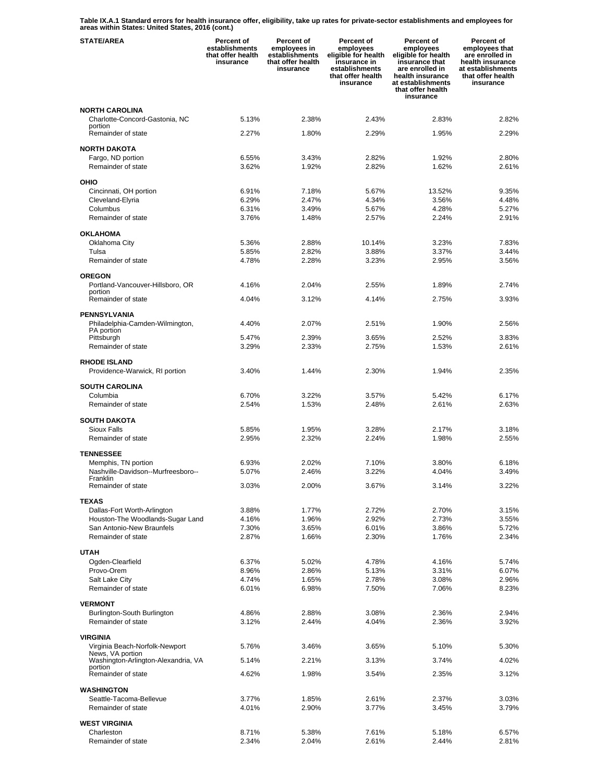**Table IX.A.1 Standard errors for health insurance offer, eligibility, take up rates for private-sector establishments and employees for areas within States: United States, 2016 (cont.)** 

| <b>STATE/AREA</b>                                             | <b>Percent of</b><br>establishments<br>that offer health<br>insurance | Percent of<br>employees in<br>establishments<br>that offer health<br>insurance | <b>Percent of</b><br>employees<br>eligible for health<br>insurance in<br>establishments<br>that offer health<br>insurance | Percent of<br>employees<br>eligible for health<br>insurance that<br>are enrolled in<br>health insurance<br>at establishments<br>that offer health<br>insurance | Percent of<br>employees that<br>are enrolled in<br>health insurance<br>at establishments<br>that offer health<br>insurance |
|---------------------------------------------------------------|-----------------------------------------------------------------------|--------------------------------------------------------------------------------|---------------------------------------------------------------------------------------------------------------------------|----------------------------------------------------------------------------------------------------------------------------------------------------------------|----------------------------------------------------------------------------------------------------------------------------|
| <b>NORTH CAROLINA</b>                                         |                                                                       |                                                                                |                                                                                                                           |                                                                                                                                                                |                                                                                                                            |
| Charlotte-Concord-Gastonia, NC<br>portion                     | 5.13%                                                                 | 2.38%                                                                          | 2.43%                                                                                                                     | 2.83%                                                                                                                                                          | 2.82%                                                                                                                      |
| Remainder of state                                            | 2.27%                                                                 | 1.80%                                                                          | 2.29%                                                                                                                     | 1.95%                                                                                                                                                          | 2.29%                                                                                                                      |
| <b>NORTH DAKOTA</b>                                           |                                                                       |                                                                                |                                                                                                                           |                                                                                                                                                                |                                                                                                                            |
| Fargo, ND portion<br>Remainder of state                       | 6.55%<br>3.62%                                                        | 3.43%<br>1.92%                                                                 | 2.82%<br>2.82%                                                                                                            | 1.92%<br>1.62%                                                                                                                                                 | 2.80%<br>2.61%                                                                                                             |
| OHIO                                                          |                                                                       |                                                                                |                                                                                                                           |                                                                                                                                                                |                                                                                                                            |
| Cincinnati, OH portion                                        | 6.91%                                                                 | 7.18%                                                                          | 5.67%                                                                                                                     | 13.52%                                                                                                                                                         | 9.35%                                                                                                                      |
| Cleveland-Elyria                                              | 6.29%                                                                 | 2.47%                                                                          | 4.34%                                                                                                                     | 3.56%                                                                                                                                                          | 4.48%                                                                                                                      |
| Columbus                                                      | 6.31%                                                                 | 3.49%                                                                          | 5.67%                                                                                                                     | 4.28%                                                                                                                                                          | 5.27%                                                                                                                      |
| Remainder of state                                            | 3.76%                                                                 | 1.48%                                                                          | 2.57%                                                                                                                     | 2.24%                                                                                                                                                          | 2.91%                                                                                                                      |
| <b>OKLAHOMA</b>                                               | 5.36%                                                                 | 2.88%                                                                          | 10.14%                                                                                                                    | 3.23%                                                                                                                                                          | 7.83%                                                                                                                      |
| Oklahoma City<br>Tulsa                                        | 5.85%                                                                 | 2.82%                                                                          | 3.88%                                                                                                                     | 3.37%                                                                                                                                                          | 3.44%                                                                                                                      |
| Remainder of state                                            | 4.78%                                                                 | 2.28%                                                                          | 3.23%                                                                                                                     | 2.95%                                                                                                                                                          | 3.56%                                                                                                                      |
| <b>OREGON</b>                                                 |                                                                       |                                                                                |                                                                                                                           |                                                                                                                                                                |                                                                                                                            |
| Portland-Vancouver-Hillsboro, OR                              | 4.16%                                                                 | 2.04%                                                                          | 2.55%                                                                                                                     | 1.89%                                                                                                                                                          | 2.74%                                                                                                                      |
| portion<br>Remainder of state                                 | 4.04%                                                                 | 3.12%                                                                          | 4.14%                                                                                                                     | 2.75%                                                                                                                                                          | 3.93%                                                                                                                      |
| <b>PENNSYLVANIA</b>                                           |                                                                       |                                                                                |                                                                                                                           |                                                                                                                                                                |                                                                                                                            |
| Philadelphia-Camden-Wilmington,                               | 4.40%                                                                 | 2.07%                                                                          | 2.51%                                                                                                                     | 1.90%                                                                                                                                                          | 2.56%                                                                                                                      |
| PA portion<br>Pittsburgh                                      | 5.47%                                                                 | 2.39%                                                                          | 3.65%                                                                                                                     | 2.52%                                                                                                                                                          | 3.83%                                                                                                                      |
| Remainder of state                                            | 3.29%                                                                 | 2.33%                                                                          | 2.75%                                                                                                                     | 1.53%                                                                                                                                                          | 2.61%                                                                                                                      |
| <b>RHODE ISLAND</b><br>Providence-Warwick, RI portion         | 3.40%                                                                 | 1.44%                                                                          | 2.30%                                                                                                                     | 1.94%                                                                                                                                                          | 2.35%                                                                                                                      |
|                                                               |                                                                       |                                                                                |                                                                                                                           |                                                                                                                                                                |                                                                                                                            |
| <b>SOUTH CAROLINA</b><br>Columbia                             | 6.70%                                                                 | 3.22%                                                                          | 3.57%                                                                                                                     | 5.42%                                                                                                                                                          | 6.17%                                                                                                                      |
| Remainder of state                                            | 2.54%                                                                 | 1.53%                                                                          | 2.48%                                                                                                                     | 2.61%                                                                                                                                                          | 2.63%                                                                                                                      |
| <b>SOUTH DAKOTA</b>                                           |                                                                       |                                                                                |                                                                                                                           |                                                                                                                                                                |                                                                                                                            |
| Sioux Falls                                                   | 5.85%                                                                 | 1.95%                                                                          | 3.28%                                                                                                                     | 2.17%                                                                                                                                                          | 3.18%                                                                                                                      |
| Remainder of state                                            | 2.95%                                                                 | 2.32%                                                                          | 2.24%                                                                                                                     | 1.98%                                                                                                                                                          | 2.55%                                                                                                                      |
| <b>TENNESSEE</b>                                              |                                                                       |                                                                                |                                                                                                                           |                                                                                                                                                                |                                                                                                                            |
| Memphis, TN portion                                           | 6.93%                                                                 | 2.02%                                                                          | 7.10%                                                                                                                     | 3.80%                                                                                                                                                          | 6.18%                                                                                                                      |
| Nashville-Davidson--Murfreesboro--<br>Franklin                | 5.07%                                                                 | 2.46%                                                                          | 3.22%                                                                                                                     | 4.04%                                                                                                                                                          | 3.49%                                                                                                                      |
| Remainder of state                                            | 3.03%                                                                 | 2.00%                                                                          | 3.67%                                                                                                                     | 3.14%                                                                                                                                                          | 3.22%                                                                                                                      |
| <b>TEXAS</b>                                                  |                                                                       |                                                                                |                                                                                                                           |                                                                                                                                                                |                                                                                                                            |
| Dallas-Fort Worth-Arlington                                   | 3.88%                                                                 | 1.77%                                                                          | 2.72%                                                                                                                     | 2.70%                                                                                                                                                          | 3.15%                                                                                                                      |
| Houston-The Woodlands-Sugar Land<br>San Antonio-New Braunfels | 4.16%<br>7.30%                                                        | 1.96%<br>3.65%                                                                 | 2.92%<br>6.01%                                                                                                            | 2.73%<br>3.86%                                                                                                                                                 | 3.55%<br>5.72%                                                                                                             |
| Remainder of state                                            | 2.87%                                                                 | 1.66%                                                                          | 2.30%                                                                                                                     | 1.76%                                                                                                                                                          | 2.34%                                                                                                                      |
| <b>UTAH</b>                                                   |                                                                       |                                                                                |                                                                                                                           |                                                                                                                                                                |                                                                                                                            |
| Ogden-Clearfield                                              | 6.37%                                                                 | 5.02%                                                                          | 4.78%                                                                                                                     | 4.16%                                                                                                                                                          | 5.74%                                                                                                                      |
| Provo-Orem                                                    | 8.96%                                                                 | 2.86%                                                                          | 5.13%                                                                                                                     | 3.31%                                                                                                                                                          | 6.07%                                                                                                                      |
| Salt Lake City                                                | 4.74%                                                                 | 1.65%                                                                          | 2.78%                                                                                                                     | 3.08%                                                                                                                                                          | 2.96%                                                                                                                      |
| Remainder of state                                            | 6.01%                                                                 | 6.98%                                                                          | 7.50%                                                                                                                     | 7.06%                                                                                                                                                          | 8.23%                                                                                                                      |
| <b>VERMONT</b><br>Burlington-South Burlington                 | 4.86%                                                                 | 2.88%                                                                          | 3.08%                                                                                                                     | 2.36%                                                                                                                                                          | 2.94%                                                                                                                      |
| Remainder of state                                            | 3.12%                                                                 | 2.44%                                                                          | 4.04%                                                                                                                     | 2.36%                                                                                                                                                          | 3.92%                                                                                                                      |
|                                                               |                                                                       |                                                                                |                                                                                                                           |                                                                                                                                                                |                                                                                                                            |
| <b>VIRGINIA</b><br>Virginia Beach-Norfolk-Newport             | 5.76%                                                                 | 3.46%                                                                          | 3.65%                                                                                                                     | 5.10%                                                                                                                                                          | 5.30%                                                                                                                      |
| News, VA portion<br>Washington-Arlington-Alexandria, VA       | 5.14%                                                                 | 2.21%                                                                          | 3.13%                                                                                                                     | 3.74%                                                                                                                                                          | 4.02%                                                                                                                      |
| portion<br>Remainder of state                                 | 4.62%                                                                 | 1.98%                                                                          | 3.54%                                                                                                                     | 2.35%                                                                                                                                                          | 3.12%                                                                                                                      |
|                                                               |                                                                       |                                                                                |                                                                                                                           |                                                                                                                                                                |                                                                                                                            |
| WASHINGTON<br>Seattle-Tacoma-Bellevue                         | 3.77%                                                                 | 1.85%                                                                          | 2.61%                                                                                                                     | 2.37%                                                                                                                                                          | 3.03%                                                                                                                      |
| Remainder of state                                            | 4.01%                                                                 | 2.90%                                                                          | 3.77%                                                                                                                     | 3.45%                                                                                                                                                          | 3.79%                                                                                                                      |
| <b>WEST VIRGINIA</b>                                          |                                                                       |                                                                                |                                                                                                                           |                                                                                                                                                                |                                                                                                                            |
| Charleston                                                    | 8.71%                                                                 | 5.38%                                                                          | 7.61%                                                                                                                     | 5.18%                                                                                                                                                          | 6.57%                                                                                                                      |
| Remainder of state                                            | 2.34%                                                                 | 2.04%                                                                          | 2.61%                                                                                                                     | 2.44%                                                                                                                                                          | 2.81%                                                                                                                      |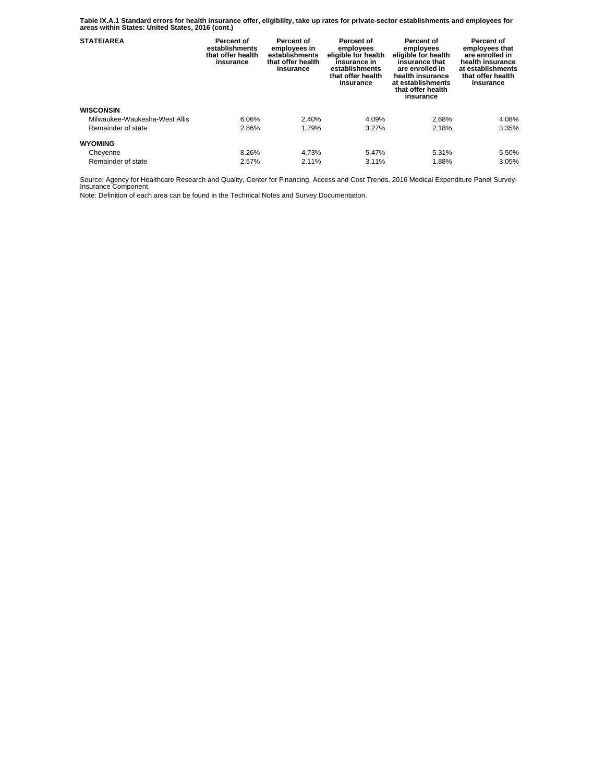**Table IX.A.1 Standard errors for health insurance offer, eligibility, take up rates for private-sector establishments and employees for areas within States: United States, 2016 (cont.)** 

| <b>STATE/AREA</b>             | Percent of<br>establishments<br>that offer health<br>insurance | Percent of<br>employees in<br>establishments<br>that offer health<br>insurance | Percent of<br>employees<br>eligible for health<br>insurance in<br>establishments<br>that offer health<br>insurance | Percent of<br>employees<br>eligible for health<br>insurance that<br>are enrolled in<br>health insurance<br>at establishments<br>that offer health<br>insurance | Percent of<br>employees that<br>are enrolled in<br>health insurance<br>at establishments<br>that offer health<br>insurance |
|-------------------------------|----------------------------------------------------------------|--------------------------------------------------------------------------------|--------------------------------------------------------------------------------------------------------------------|----------------------------------------------------------------------------------------------------------------------------------------------------------------|----------------------------------------------------------------------------------------------------------------------------|
| <b>WISCONSIN</b>              |                                                                |                                                                                |                                                                                                                    |                                                                                                                                                                |                                                                                                                            |
| Milwaukee-Waukesha-West Allis | 6.06%                                                          | 2.40%                                                                          | 4.09%                                                                                                              | 2.68%                                                                                                                                                          | 4.08%                                                                                                                      |
| Remainder of state            | 2.86%                                                          | 1.79%                                                                          | 3.27%                                                                                                              | 2.18%                                                                                                                                                          | 3.35%                                                                                                                      |
| <b>WYOMING</b>                |                                                                |                                                                                |                                                                                                                    |                                                                                                                                                                |                                                                                                                            |
| Cheyenne                      | 8.26%                                                          | 4.73%                                                                          | 5.47%                                                                                                              | 5.31%                                                                                                                                                          | 5.50%                                                                                                                      |
| Remainder of state            | 2.57%                                                          | 2.11%                                                                          | 3.11%                                                                                                              | 1.88%                                                                                                                                                          | 3.05%                                                                                                                      |

Source: Agency for Healthcare Research and Quality, Center for Financing, Access and Cost Trends. 2016 Medical Expenditure Panel Survey-Insurance Component.

Note: Definition of each area can be found in the Technical Notes and Survey Documentation.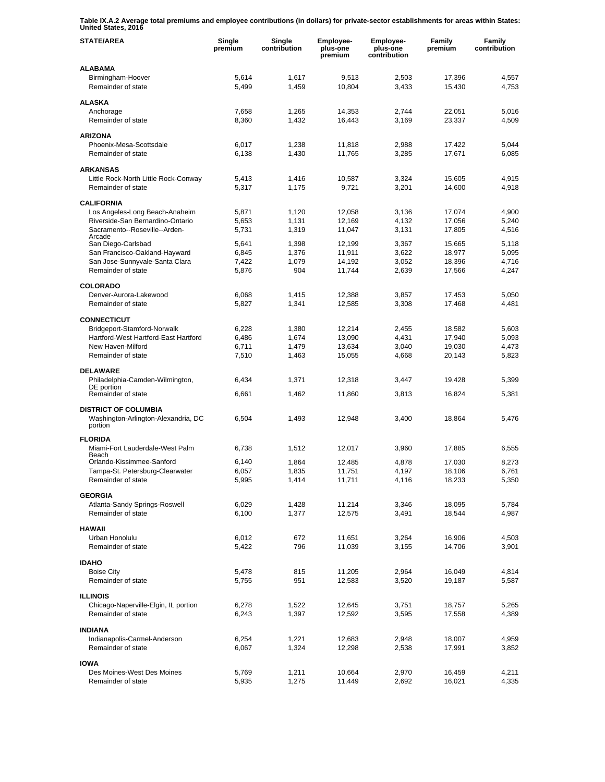**Table IX.A.2 Average total premiums and employee contributions (in dollars) for private-sector establishments for areas within States: United States, 2016** 

| <b>STATE/AREA</b>                                                             | Single<br>premium | Single<br>contribution | Employee-<br>plus-one<br>premium | Employee-<br>plus-one<br>contribution | Family<br>premium | Family<br>contribution |
|-------------------------------------------------------------------------------|-------------------|------------------------|----------------------------------|---------------------------------------|-------------------|------------------------|
| <b>ALABAMA</b>                                                                |                   |                        |                                  |                                       |                   |                        |
| Birmingham-Hoover<br>Remainder of state                                       | 5,614<br>5,499    | 1,617<br>1,459         | 9,513<br>10,804                  | 2,503<br>3,433                        | 17,396<br>15,430  | 4,557<br>4,753         |
| <b>ALASKA</b>                                                                 |                   |                        |                                  |                                       |                   |                        |
| Anchorage                                                                     | 7,658             | 1,265                  | 14,353                           | 2,744                                 | 22,051            | 5,016                  |
| Remainder of state                                                            | 8,360             | 1,432                  | 16,443                           | 3,169                                 | 23,337            | 4,509                  |
| <b>ARIZONA</b>                                                                |                   |                        |                                  |                                       |                   |                        |
| Phoenix-Mesa-Scottsdale                                                       | 6,017             | 1,238                  | 11,818                           | 2,988                                 | 17,422            | 5,044                  |
| Remainder of state                                                            | 6,138             | 1,430                  | 11,765                           | 3,285                                 | 17,671            | 6,085                  |
| <b>ARKANSAS</b>                                                               |                   |                        |                                  |                                       |                   |                        |
| Little Rock-North Little Rock-Conway                                          | 5,413             | 1,416                  | 10,587                           | 3,324                                 | 15,605            | 4,915                  |
| Remainder of state                                                            | 5,317             | 1,175                  | 9,721                            | 3,201                                 | 14,600            | 4,918                  |
| <b>CALIFORNIA</b>                                                             |                   |                        |                                  |                                       |                   |                        |
| Los Angeles-Long Beach-Anaheim                                                | 5,871             | 1,120                  | 12,058                           | 3,136                                 | 17,074            | 4,900                  |
| Riverside-San Bernardino-Ontario                                              | 5,653             | 1,131                  | 12,169                           | 4,132                                 | 17,056            | 5,240                  |
| Sacramento--Roseville--Arden-                                                 | 5,731             | 1,319                  | 11,047                           | 3,131                                 | 17,805            | 4,516                  |
| Arcade<br>San Diego-Carlsbad                                                  | 5,641             | 1,398                  | 12,199                           | 3,367                                 | 15,665            | 5,118                  |
| San Francisco-Oakland-Hayward                                                 | 6,845             | 1,376                  | 11,911                           | 3,622                                 | 18,977            | 5,095                  |
| San Jose-Sunnyvale-Santa Clara                                                | 7,422             | 1,079                  | 14,192                           | 3,052                                 | 18,396            | 4,716                  |
| Remainder of state                                                            | 5,876             | 904                    | 11,744                           | 2,639                                 | 17,566            | 4,247                  |
| <b>COLORADO</b>                                                               |                   |                        |                                  |                                       |                   |                        |
| Denver-Aurora-Lakewood                                                        | 6,068             | 1,415                  | 12,388                           | 3,857                                 | 17,453            | 5,050                  |
| Remainder of state                                                            | 5,827             | 1,341                  | 12,585                           | 3,308                                 | 17,468            | 4,481                  |
| <b>CONNECTICUT</b>                                                            |                   |                        |                                  |                                       |                   |                        |
| Bridgeport-Stamford-Norwalk                                                   | 6,228             | 1,380                  | 12,214                           | 2,455                                 | 18,582            | 5,603                  |
| Hartford-West Hartford-East Hartford                                          | 6,486             | 1,674                  | 13,090                           | 4,431                                 | 17,940            | 5,093                  |
| New Haven-Milford                                                             | 6,711             | 1,479                  | 13,634                           | 3,040                                 | 19,030            | 4,473                  |
| Remainder of state                                                            | 7,510             | 1,463                  | 15,055                           | 4,668                                 | 20,143            | 5,823                  |
| <b>DELAWARE</b>                                                               |                   |                        |                                  |                                       |                   |                        |
| Philadelphia-Camden-Wilmington,                                               | 6,434             | 1,371                  | 12,318                           | 3,447                                 | 19,428            | 5,399                  |
| DE portion<br>Remainder of state                                              | 6,661             | 1,462                  | 11,860                           | 3,813                                 | 16,824            | 5,381                  |
|                                                                               |                   |                        |                                  |                                       |                   |                        |
| <b>DISTRICT OF COLUMBIA</b><br>Washington-Arlington-Alexandria, DC<br>portion | 6,504             | 1,493                  | 12,948                           | 3,400                                 | 18,864            | 5,476                  |
| <b>FLORIDA</b>                                                                |                   |                        |                                  |                                       |                   |                        |
| Miami-Fort Lauderdale-West Palm                                               | 6,738             | 1,512                  | 12,017                           | 3,960                                 | 17,885            | 6,555                  |
| Beach<br>Orlando-Kissimmee-Sanford                                            | 6,140             | 1,864                  | 12,485                           | 4,878                                 | 17.030            | 8,273                  |
| Tampa-St. Petersburg-Clearwater                                               | 6,057             | 1,835                  | 11,751                           | 4,197                                 | 18,106            | 6,761                  |
| Remainder of state                                                            | 5,995             | 1,414                  | 11,711                           | 4,116                                 | 18,233            | 5,350                  |
| <b>GEORGIA</b>                                                                |                   |                        |                                  |                                       |                   |                        |
| Atlanta-Sandy Springs-Roswell                                                 | 6,029             | 1,428                  | 11,214                           | 3,346                                 | 18,095            | 5,784                  |
| Remainder of state                                                            | 6,100             | 1,377                  | 12,575                           | 3,491                                 | 18,544            | 4,987                  |
| <b>HAWAII</b>                                                                 |                   |                        |                                  |                                       |                   |                        |
| Urban Honolulu                                                                | 6,012             | 672                    | 11,651                           | 3,264                                 | 16,906            | 4,503                  |
| Remainder of state                                                            | 5,422             | 796                    | 11,039                           | 3,155                                 | 14,706            | 3,901                  |
| <b>IDAHO</b>                                                                  |                   |                        |                                  |                                       |                   |                        |
| <b>Boise City</b>                                                             | 5,478             | 815                    | 11,205                           | 2,964                                 | 16,049            | 4,814                  |
| Remainder of state                                                            | 5,755             | 951                    | 12,583                           | 3,520                                 | 19,187            | 5,587                  |
|                                                                               |                   |                        |                                  |                                       |                   |                        |
| <b>ILLINOIS</b><br>Chicago-Naperville-Elgin, IL portion                       | 6,278             | 1,522                  | 12,645                           | 3,751                                 | 18,757            | 5,265                  |
| Remainder of state                                                            | 6,243             | 1,397                  | 12,592                           | 3,595                                 | 17,558            | 4,389                  |
|                                                                               |                   |                        |                                  |                                       |                   |                        |
| <b>INDIANA</b><br>Indianapolis-Carmel-Anderson                                |                   | 1,221                  |                                  |                                       |                   | 4,959                  |
| Remainder of state                                                            | 6,254<br>6,067    | 1,324                  | 12,683<br>12,298                 | 2,948<br>2,538                        | 18,007<br>17,991  | 3,852                  |
|                                                                               |                   |                        |                                  |                                       |                   |                        |
| <b>IOWA</b>                                                                   |                   |                        |                                  |                                       |                   |                        |
| Des Moines-West Des Moines<br>Remainder of state                              | 5,769<br>5,935    | 1,211<br>1,275         | 10,664<br>11,449                 | 2,970<br>2,692                        | 16,459<br>16,021  | 4,211<br>4,335         |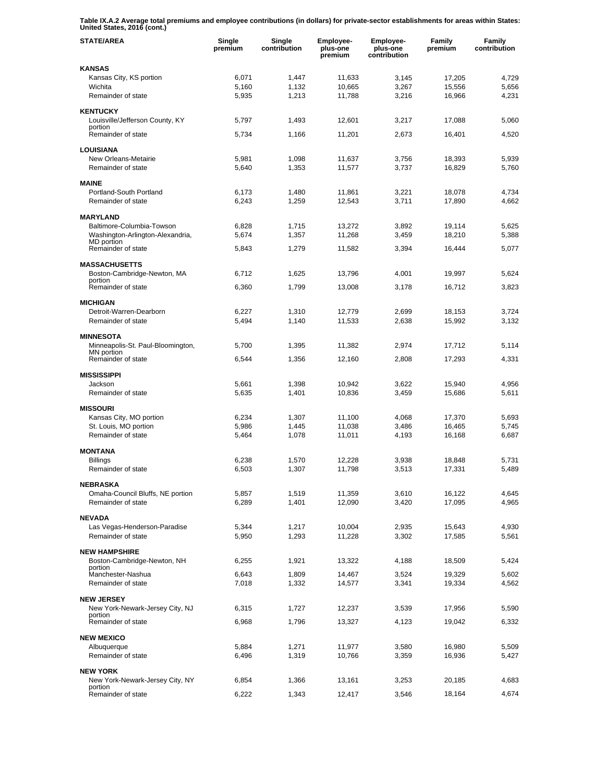**Table IX.A.2 Average total premiums and employee contributions (in dollars) for private-sector establishments for areas within States: United States, 2016 (cont.)** 

| <b>STATE/AREA</b>                                | Single<br>premium | Single<br>contribution | <b>Employee-</b><br>plus-one<br>premium | <b>Employee-</b><br>plus-one<br>contribution | Family<br>premium | Family<br>contribution |
|--------------------------------------------------|-------------------|------------------------|-----------------------------------------|----------------------------------------------|-------------------|------------------------|
| <b>KANSAS</b>                                    |                   |                        |                                         |                                              |                   |                        |
| Kansas City, KS portion                          | 6,071             | 1,447                  | 11,633                                  | 3,145                                        | 17,205            | 4,729                  |
| Wichita                                          | 5,160             | 1,132                  | 10,665                                  | 3,267                                        | 15,556            | 5,656                  |
| Remainder of state                               | 5,935             | 1,213                  | 11,788                                  | 3,216                                        | 16,966            | 4,231                  |
| <b>KENTUCKY</b>                                  |                   |                        |                                         |                                              |                   |                        |
| Louisville/Jefferson County, KY                  | 5,797             | 1,493                  | 12,601                                  | 3,217                                        | 17,088            | 5,060                  |
| portion<br>Remainder of state                    | 5,734             | 1,166                  | 11,201                                  | 2,673                                        | 16.401            | 4,520                  |
|                                                  |                   |                        |                                         |                                              |                   |                        |
| <b>LOUISIANA</b>                                 |                   |                        |                                         |                                              |                   |                        |
| New Orleans-Metairie                             | 5,981             | 1,098                  | 11,637                                  | 3,756                                        | 18,393            | 5,939                  |
| Remainder of state                               | 5,640             | 1,353                  | 11,577                                  | 3,737                                        | 16,829            | 5,760                  |
| <b>MAINE</b>                                     |                   |                        |                                         |                                              |                   |                        |
| Portland-South Portland                          | 6,173             | 1,480                  | 11,861                                  | 3,221                                        | 18,078            | 4,734                  |
| Remainder of state                               | 6,243             | 1,259                  | 12,543                                  | 3,711                                        | 17,890            | 4,662                  |
| <b>MARYLAND</b>                                  |                   |                        |                                         |                                              |                   |                        |
| Baltimore-Columbia-Towson                        | 6,828             | 1,715                  | 13,272                                  | 3,892                                        | 19,114            | 5,625                  |
| Washington-Arlington-Alexandria,                 | 5,674             | 1,357                  | 11,268                                  | 3,459                                        | 18,210            | 5,388                  |
| <b>MD</b> portion<br>Remainder of state          | 5,843             | 1,279                  | 11,582                                  | 3,394                                        | 16,444            | 5,077                  |
|                                                  |                   |                        |                                         |                                              |                   |                        |
| <b>MASSACHUSETTS</b>                             |                   |                        |                                         |                                              |                   |                        |
| Boston-Cambridge-Newton, MA                      | 6,712             | 1,625                  | 13,796                                  | 4,001                                        | 19,997            | 5,624                  |
| portion<br>Remainder of state                    | 6,360             | 1,799                  | 13,008                                  | 3,178                                        | 16.712            | 3,823                  |
|                                                  |                   |                        |                                         |                                              |                   |                        |
| <b>MICHIGAN</b>                                  |                   |                        |                                         |                                              |                   |                        |
| Detroit-Warren-Dearborn<br>Remainder of state    | 6,227<br>5,494    | 1,310<br>1,140         | 12,779<br>11,533                        | 2,699<br>2,638                               | 18,153<br>15,992  | 3,724<br>3,132         |
|                                                  |                   |                        |                                         |                                              |                   |                        |
| <b>MINNESOTA</b>                                 |                   |                        |                                         |                                              |                   |                        |
| Minneapolis-St. Paul-Bloomington,<br>MN portion  | 5,700             | 1,395                  | 11,382                                  | 2,974                                        | 17,712            | 5,114                  |
| Remainder of state                               | 6,544             | 1,356                  | 12,160                                  | 2,808                                        | 17,293            | 4,331                  |
|                                                  |                   |                        |                                         |                                              |                   |                        |
| <b>MISSISSIPPI</b><br>Jackson                    | 5,661             | 1,398                  | 10,942                                  | 3,622                                        | 15,940            | 4,956                  |
| Remainder of state                               | 5,635             | 1,401                  | 10,836                                  | 3,459                                        | 15,686            | 5,611                  |
|                                                  |                   |                        |                                         |                                              |                   |                        |
| <b>MISSOURI</b>                                  |                   |                        |                                         |                                              |                   |                        |
| Kansas City, MO portion<br>St. Louis, MO portion | 6,234<br>5,986    | 1,307<br>1,445         | 11,100<br>11,038                        | 4,068<br>3,486                               | 17,370<br>16,465  | 5,693<br>5,745         |
| Remainder of state                               | 5,464             | 1,078                  | 11,011                                  | 4,193                                        | 16,168            | 6,687                  |
|                                                  |                   |                        |                                         |                                              |                   |                        |
| <b>MONTANA</b>                                   |                   |                        |                                         |                                              |                   |                        |
| <b>Billings</b>                                  | 6,238             | 1,570                  | 12,228                                  | 3,938                                        | 18,848            | 5,731                  |
| Remainder of state                               | 6,503             | 1,307                  | 11,798                                  | 3,513                                        | 17,331            | 5,489                  |
| <b>NEBRASKA</b>                                  |                   |                        |                                         |                                              |                   |                        |
| Omaha-Council Bluffs, NE portion                 | 5,857             | 1,519                  | 11,359                                  | 3,610                                        | 16,122            | 4,645                  |
| Remainder of state                               | 6,289             | 1,401                  | 12,090                                  | 3,420                                        | 17,095            | 4,965                  |
| <b>NEVADA</b>                                    |                   |                        |                                         |                                              |                   |                        |
| Las Vegas-Henderson-Paradise                     | 5,344             | 1,217                  | 10,004                                  | 2,935                                        | 15,643            | 4,930                  |
| Remainder of state                               | 5,950             | 1,293                  | 11,228                                  | 3,302                                        | 17,585            | 5,561                  |
| <b>NEW HAMPSHIRE</b>                             |                   |                        |                                         |                                              |                   |                        |
| Boston-Cambridge-Newton, NH                      | 6,255             | 1,921                  | 13,322                                  | 4,188                                        | 18,509            | 5,424                  |
| portion                                          |                   |                        |                                         |                                              |                   |                        |
| Manchester-Nashua                                | 6,643             | 1,809                  | 14,467                                  | 3,524                                        | 19,329            | 5,602                  |
| Remainder of state                               | 7,018             | 1,332                  | 14,577                                  | 3,341                                        | 19,334            | 4,562                  |
| <b>NEW JERSEY</b>                                |                   |                        |                                         |                                              |                   |                        |
| New York-Newark-Jersey City, NJ                  | 6,315             | 1,727                  | 12,237                                  | 3,539                                        | 17,956            | 5,590                  |
| portion<br>Remainder of state                    | 6,968             | 1,796                  | 13,327                                  | 4,123                                        | 19,042            | 6,332                  |
|                                                  |                   |                        |                                         |                                              |                   |                        |
| <b>NEW MEXICO</b>                                |                   |                        |                                         |                                              |                   |                        |
| Albuquerque<br>Remainder of state                | 5,884<br>6,496    | 1,271<br>1,319         | 11,977<br>10,766                        | 3,580<br>3,359                               | 16,980<br>16,936  | 5,509<br>5,427         |
|                                                  |                   |                        |                                         |                                              |                   |                        |
| <b>NEW YORK</b>                                  |                   |                        |                                         |                                              |                   |                        |
| New York-Newark-Jersey City, NY<br>portion       | 6,854             | 1,366                  | 13,161                                  | 3,253                                        | 20,185            | 4,683                  |
| Remainder of state                               | 6,222             | 1,343                  | 12,417                                  | 3,546                                        | 18,164            | 4,674                  |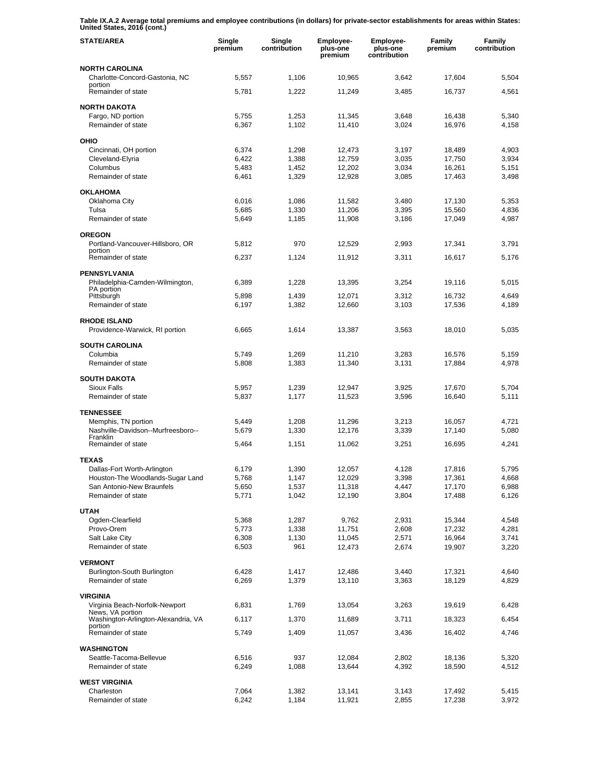**Table IX.A.2 Average total premiums and employee contributions (in dollars) for private-sector establishments for areas within States: United States, 2016 (cont.)** 

| <b>STATE/AREA</b>                                             | Single<br>premium | Single<br>contribution | Employee-<br>plus-one<br>premium | Employee-<br>plus-one<br>contribution | Family<br>premium | Family<br>contribution |
|---------------------------------------------------------------|-------------------|------------------------|----------------------------------|---------------------------------------|-------------------|------------------------|
| <b>NORTH CAROLINA</b><br>Charlotte-Concord-Gastonia, NC       | 5,557             | 1,106                  | 10,965                           | 3,642                                 | 17,604            | 5,504                  |
| portion<br>Remainder of state                                 | 5,781             | 1,222                  | 11,249                           | 3,485                                 | 16,737            | 4,561                  |
| <b>NORTH DAKOTA</b>                                           |                   |                        |                                  |                                       |                   |                        |
| Fargo, ND portion<br>Remainder of state                       | 5,755<br>6,367    | 1,253<br>1,102         | 11,345<br>11,410                 | 3,648<br>3,024                        | 16,438<br>16,976  | 5,340<br>4,158         |
| OHIO                                                          |                   |                        |                                  |                                       |                   |                        |
| Cincinnati, OH portion                                        | 6,374             | 1,298                  | 12,473                           | 3,197                                 | 18,489            | 4.903                  |
| Cleveland-Elyria                                              | 6,422             | 1,388                  | 12,759                           | 3,035                                 | 17,750            | 3,934                  |
| Columbus<br>Remainder of state                                | 5,483<br>6,461    | 1,452<br>1,329         | 12,202<br>12,928                 | 3,034<br>3,085                        | 16,261<br>17,463  | 5,151<br>3,498         |
| <b>OKLAHOMA</b>                                               |                   |                        |                                  |                                       |                   |                        |
| Oklahoma City                                                 | 6,016             | 1,086                  | 11,582                           | 3,480                                 | 17,130            | 5,353                  |
| Tulsa                                                         | 5,685             | 1,330                  | 11,206                           | 3,395                                 | 15,560            | 4,836                  |
| Remainder of state                                            | 5,649             | 1,185                  | 11,908                           | 3,186                                 | 17,049            | 4,987                  |
| <b>OREGON</b>                                                 |                   |                        |                                  |                                       |                   |                        |
| Portland-Vancouver-Hillsboro, OR<br>portion                   | 5,812             | 970                    | 12,529                           | 2,993                                 | 17,341            | 3,791                  |
| Remainder of state                                            | 6,237             | 1,124                  | 11,912                           | 3,311                                 | 16,617            | 5,176                  |
| <b>PENNSYLVANIA</b><br>Philadelphia-Camden-Wilmington,        | 6,389             | 1,228                  | 13,395                           | 3,254                                 | 19,116            | 5,015                  |
| PA portion<br>Pittsburgh                                      |                   | 1,439                  | 12,071                           | 3,312                                 |                   | 4,649                  |
| Remainder of state                                            | 5,898<br>6,197    | 1,382                  | 12,660                           | 3,103                                 | 16,732<br>17,536  | 4,189                  |
| <b>RHODE ISLAND</b>                                           |                   |                        |                                  |                                       |                   |                        |
| Providence-Warwick, RI portion                                | 6,665             | 1,614                  | 13,387                           | 3,563                                 | 18,010            | 5,035                  |
| <b>SOUTH CAROLINA</b>                                         |                   |                        |                                  |                                       |                   |                        |
| Columbia<br>Remainder of state                                | 5,749<br>5,808    | 1,269<br>1,383         | 11,210<br>11,340                 | 3,283<br>3,131                        | 16,576<br>17,884  | 5,159<br>4,978         |
|                                                               |                   |                        |                                  |                                       |                   |                        |
| <b>SOUTH DAKOTA</b><br><b>Sioux Falls</b>                     | 5,957             | 1,239                  | 12,947                           | 3,925                                 | 17,670            | 5,704                  |
| Remainder of state                                            | 5,837             | 1,177                  | 11,523                           | 3,596                                 | 16,640            | 5,111                  |
| <b>TENNESSEE</b>                                              |                   |                        |                                  |                                       |                   |                        |
| Memphis, TN portion                                           | 5,449             | 1,208                  | 11,296                           | 3,213                                 | 16,057            | 4,721                  |
| Nashville-Davidson--Murfreesboro--<br>Franklin                | 5,679             | 1,330                  | 12,176                           | 3,339                                 | 17,140            | 5,080                  |
| Remainder of state                                            | 5,464             | 1,151                  | 11,062                           | 3,251                                 | 16,695            | 4,241                  |
| <b>TEXAS</b>                                                  |                   |                        |                                  |                                       |                   |                        |
| Dallas-Fort Worth-Arlington                                   | 6,179             | 1,390                  | 12,057                           | 4,128                                 | 17,816            | 5,795                  |
| Houston-The Woodlands-Sugar Land<br>San Antonio-New Braunfels | 5,768<br>5,650    | 1,147                  | 12,029<br>11,318                 | 3,398<br>4,447                        | 17,361<br>17,170  | 4,668<br>6,988         |
| Remainder of state                                            | 5,771             | 1,537<br>1,042         | 12,190                           | 3,804                                 | 17,488            | 6,126                  |
| <b>UTAH</b>                                                   |                   |                        |                                  |                                       |                   |                        |
| Ogden-Clearfield                                              | 5,368             | 1,287                  | 9,762                            | 2,931                                 | 15,344            | 4,548                  |
| Provo-Orem                                                    | 5,773             | 1,338                  | 11,751                           | 2,608                                 | 17,232            | 4,281                  |
| Salt Lake City                                                | 6,308             | 1,130                  | 11,045                           | 2,571                                 | 16,964            | 3,741                  |
| Remainder of state                                            | 6,503             | 961                    | 12,473                           | 2,674                                 | 19,907            | 3,220                  |
| <b>VERMONT</b>                                                |                   |                        |                                  |                                       |                   |                        |
| Burlington-South Burlington                                   | 6,428             | 1,417                  | 12,486                           | 3,440                                 | 17,321            | 4,640                  |
| Remainder of state                                            | 6,269             | 1,379                  | 13,110                           | 3,363                                 | 18,129            | 4,829                  |
| <b>VIRGINIA</b><br>Virginia Beach-Norfolk-Newport             | 6,831             | 1,769                  | 13,054                           | 3,263                                 | 19,619            | 6,428                  |
| News, VA portion<br>Washington-Arlington-Alexandria, VA       | 6,117             | 1,370                  | 11,689                           | 3,711                                 | 18,323            | 6,454                  |
| portion<br>Remainder of state                                 | 5,749             | 1,409                  | 11,057                           | 3,436                                 | 16,402            | 4,746                  |
|                                                               |                   |                        |                                  |                                       |                   |                        |
| <b>WASHINGTON</b><br>Seattle-Tacoma-Bellevue                  | 6,516             | 937                    | 12,084                           | 2,802                                 | 18,136            | 5,320                  |
| Remainder of state                                            | 6,249             | 1,088                  | 13,644                           | 4,392                                 | 18,590            | 4,512                  |
| <b>WEST VIRGINIA</b>                                          |                   |                        |                                  |                                       |                   |                        |
| Charleston                                                    | 7,064             | 1,382                  | 13,141                           | 3,143                                 | 17,492            | 5,415                  |
| Remainder of state                                            | 6,242             | 1,184                  | 11,921                           | 2,855                                 | 17,238            | 3,972                  |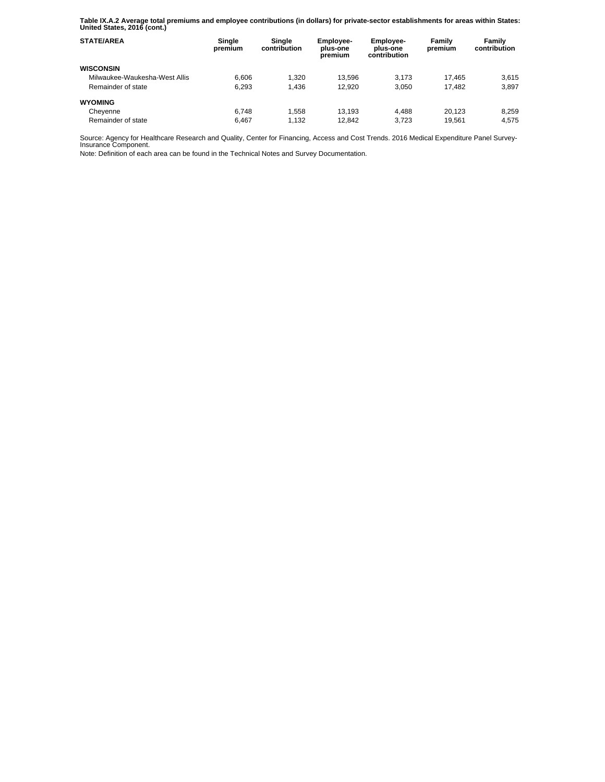**Table IX.A.2 Average total premiums and employee contributions (in dollars) for private-sector establishments for areas within States: United States, 2016 (cont.)** 

| <b>STATE/AREA</b>             | Single<br>premium | Single<br>contribution | Employee-<br>plus-one<br>premium | Employee-<br>plus-one<br>contribution | Family<br>premium | Family<br>contribution |
|-------------------------------|-------------------|------------------------|----------------------------------|---------------------------------------|-------------------|------------------------|
| <b>WISCONSIN</b>              |                   |                        |                                  |                                       |                   |                        |
| Milwaukee-Waukesha-West Allis | 6.606             | 1.320                  | 13.596                           | 3.173                                 | 17.465            | 3.615                  |
| Remainder of state            | 6.293             | 1.436                  | 12.920                           | 3.050                                 | 17.482            | 3.897                  |
| <b>WYOMING</b>                |                   |                        |                                  |                                       |                   |                        |
| Cheyenne                      | 6.748             | 1.558                  | 13.193                           | 4.488                                 | 20.123            | 8.259                  |
| Remainder of state            | 6.467             | 1.132                  | 12.842                           | 3.723                                 | 19.561            | 4.575                  |

Source: Agency for Healthcare Research and Quality, Center for Financing, Access and Cost Trends. 2016 Medical Expenditure Panel Survey-Insurance Component.

Note: Definition of each area can be found in the Technical Notes and Survey Documentation.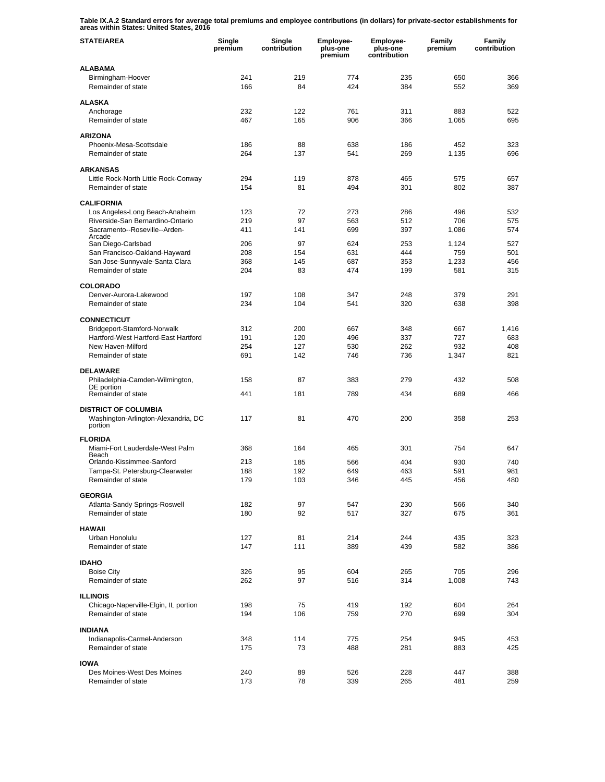**Table IX.A.2 Standard errors for average total premiums and employee contributions (in dollars) for private-sector establishments for areas within States: United States, 2016** 

| <b>STATE/AREA</b>                                                             | Single<br>premium | Single<br>contribution | Employee-<br>plus-one<br>premium | Employee-<br>plus-one<br>contribution | Family<br>premium | Family<br>contribution |
|-------------------------------------------------------------------------------|-------------------|------------------------|----------------------------------|---------------------------------------|-------------------|------------------------|
| <b>ALABAMA</b>                                                                |                   |                        |                                  |                                       |                   |                        |
| Birmingham-Hoover<br>Remainder of state                                       | 241<br>166        | 219<br>84              | 774<br>424                       | 235<br>384                            | 650<br>552        | 366<br>369             |
| <b>ALASKA</b>                                                                 |                   |                        |                                  |                                       |                   |                        |
| Anchorage                                                                     | 232               | 122                    | 761                              | 311                                   | 883               | 522                    |
| Remainder of state                                                            | 467               | 165                    | 906                              | 366                                   | 1,065             | 695                    |
| <b>ARIZONA</b>                                                                |                   |                        |                                  |                                       |                   |                        |
| Phoenix-Mesa-Scottsdale                                                       | 186               | 88                     | 638                              | 186                                   | 452               | 323                    |
| Remainder of state                                                            | 264               | 137                    | 541                              | 269                                   | 1,135             | 696                    |
| <b>ARKANSAS</b>                                                               |                   |                        |                                  |                                       |                   |                        |
| Little Rock-North Little Rock-Conway                                          | 294               | 119                    | 878                              | 465                                   | 575               | 657                    |
| Remainder of state                                                            | 154               | 81                     | 494                              | 301                                   | 802               | 387                    |
| <b>CALIFORNIA</b>                                                             |                   |                        |                                  |                                       |                   |                        |
| Los Angeles-Long Beach-Anaheim                                                | 123               | 72                     | 273                              | 286                                   | 496               | 532                    |
| Riverside-San Bernardino-Ontario<br>Sacramento--Roseville--Arden-             | 219<br>411        | 97<br>141              | 563<br>699                       | 512<br>397                            | 706<br>1,086      | 575<br>574             |
| Arcade                                                                        |                   |                        |                                  |                                       |                   |                        |
| San Diego-Carlsbad<br>San Francisco-Oakland-Hayward                           | 206<br>208        | 97<br>154              | 624<br>631                       | 253<br>444                            | 1,124<br>759      | 527<br>501             |
| San Jose-Sunnyvale-Santa Clara                                                | 368               | 145                    | 687                              | 353                                   | 1,233             | 456                    |
| Remainder of state                                                            | 204               | 83                     | 474                              | 199                                   | 581               | 315                    |
| <b>COLORADO</b>                                                               |                   |                        |                                  |                                       |                   |                        |
| Denver-Aurora-Lakewood                                                        | 197               | 108                    | 347                              | 248                                   | 379               | 291                    |
| Remainder of state                                                            | 234               | 104                    | 541                              | 320                                   | 638               | 398                    |
| <b>CONNECTICUT</b>                                                            |                   |                        |                                  |                                       |                   |                        |
| Bridgeport-Stamford-Norwalk                                                   | 312               | 200                    | 667                              | 348                                   | 667               | 1,416                  |
| Hartford-West Hartford-East Hartford                                          | 191               | 120                    | 496                              | 337                                   | 727               | 683                    |
| New Haven-Milford                                                             | 254               | 127                    | 530                              | 262                                   | 932               | 408                    |
| Remainder of state                                                            | 691               | 142                    | 746                              | 736                                   | 1,347             | 821                    |
| <b>DELAWARE</b>                                                               |                   |                        |                                  |                                       |                   |                        |
| Philadelphia-Camden-Wilmington,                                               | 158               | 87                     | 383                              | 279                                   | 432               | 508                    |
| DE portion<br>Remainder of state                                              | 441               | 181                    | 789                              | 434                                   | 689               | 466                    |
|                                                                               |                   |                        |                                  |                                       |                   |                        |
| <b>DISTRICT OF COLUMBIA</b><br>Washington-Arlington-Alexandria, DC<br>portion | 117               | 81                     | 470                              | 200                                   | 358               | 253                    |
| <b>FLORIDA</b>                                                                |                   |                        |                                  |                                       |                   |                        |
| Miami-Fort Lauderdale-West Palm                                               | 368               | 164                    | 465                              | 301                                   | 754               | 647                    |
| Beach<br>Orlando-Kissimmee-Sanford                                            | 213               | 185                    | 566                              | 404                                   | 930               | 740                    |
| Tampa-St. Petersburg-Clearwater                                               | 188               | 192                    | 649                              | 463                                   | 591               | 981                    |
| Remainder of state                                                            | 179               | 103                    | 346                              | 445                                   | 456               | 480                    |
| <b>GEORGIA</b>                                                                |                   |                        |                                  |                                       |                   |                        |
| Atlanta-Sandy Springs-Roswell                                                 | 182               | 97                     | 547                              | 230                                   | 566               | 340                    |
| Remainder of state                                                            | 180               | 92                     | 517                              | 327                                   | 675               | 361                    |
| <b>HAWAII</b>                                                                 |                   |                        |                                  |                                       |                   |                        |
| Urban Honolulu                                                                | 127               | 81                     | 214                              | 244                                   | 435               | 323                    |
| Remainder of state                                                            | 147               | 111                    | 389                              | 439                                   | 582               | 386                    |
| <b>IDAHO</b>                                                                  |                   |                        |                                  |                                       |                   |                        |
| <b>Boise City</b>                                                             | 326               | 95                     | 604                              | 265                                   | 705               | 296                    |
| Remainder of state                                                            | 262               | 97                     | 516                              | 314                                   | 1,008             | 743                    |
| <b>ILLINOIS</b>                                                               |                   |                        |                                  |                                       |                   |                        |
| Chicago-Naperville-Elgin, IL portion                                          | 198               | 75                     | 419                              | 192                                   | 604               | 264                    |
| Remainder of state                                                            | 194               | 106                    | 759                              | 270                                   | 699               | 304                    |
| <b>INDIANA</b>                                                                |                   |                        |                                  |                                       |                   |                        |
| Indianapolis-Carmel-Anderson                                                  | 348               | 114                    | 775                              | 254                                   | 945               | 453                    |
| Remainder of state                                                            | 175               | 73                     | 488                              | 281                                   | 883               | 425                    |
| <b>IOWA</b>                                                                   |                   |                        |                                  |                                       |                   |                        |
| Des Moines-West Des Moines                                                    | 240               | 89                     | 526                              | 228                                   | 447               | 388                    |
| Remainder of state                                                            | 173               | 78                     | 339                              | 265                                   | 481               | 259                    |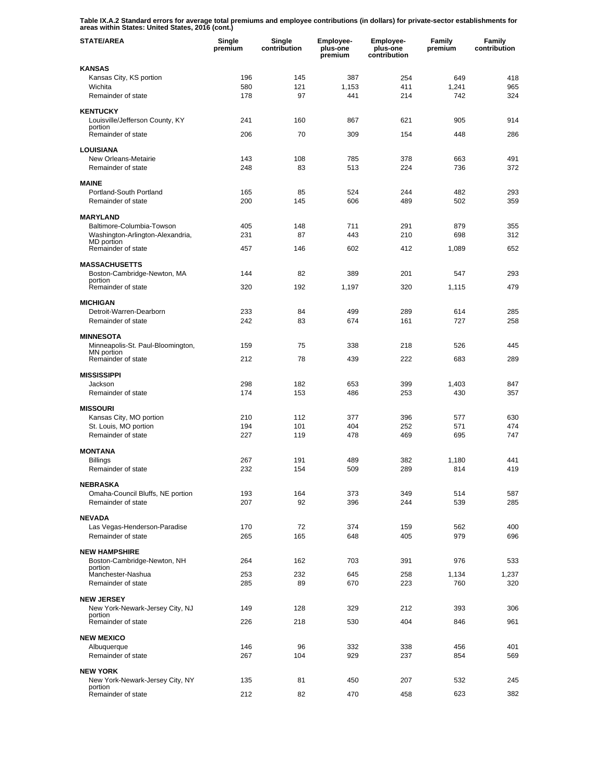**Table IX.A.2 Standard errors for average total premiums and employee contributions (in dollars) for private-sector establishments for areas within States: United States, 2016 (cont.)** 

| <b>STATE/AREA</b>                                   | Single<br>premium | Single<br>contribution | Employee-<br>plus-one<br>premium | Employee-<br>plus-one<br>contribution | Family<br>premium | Family<br>contribution |
|-----------------------------------------------------|-------------------|------------------------|----------------------------------|---------------------------------------|-------------------|------------------------|
| <b>KANSAS</b>                                       |                   |                        |                                  |                                       |                   |                        |
| Kansas City, KS portion                             | 196               | 145                    | 387                              | 254                                   | 649               | 418                    |
| Wichita<br>Remainder of state                       | 580<br>178        | 121<br>97              | 1,153<br>441                     | 411<br>214                            | 1,241<br>742      | 965<br>324             |
|                                                     |                   |                        |                                  |                                       |                   |                        |
| <b>KENTUCKY</b>                                     | 241               | 160                    | 867                              | 621                                   |                   | 914                    |
| Louisville/Jefferson County, KY<br>portion          |                   |                        |                                  |                                       | 905               |                        |
| Remainder of state                                  | 206               | 70                     | 309                              | 154                                   | 448               | 286                    |
| <b>LOUISIANA</b>                                    |                   |                        |                                  |                                       |                   |                        |
| New Orleans-Metairie                                | 143               | 108                    | 785                              | 378                                   | 663               | 491                    |
| Remainder of state                                  | 248               | 83                     | 513                              | 224                                   | 736               | 372                    |
| <b>MAINE</b>                                        |                   |                        |                                  |                                       |                   |                        |
| Portland-South Portland<br>Remainder of state       | 165<br>200        | 85<br>145              | 524<br>606                       | 244<br>489                            | 482<br>502        | 293<br>359             |
|                                                     |                   |                        |                                  |                                       |                   |                        |
| <b>MARYLAND</b><br>Baltimore-Columbia-Towson        | 405               | 148                    | 711                              | 291                                   | 879               | 355                    |
| Washington-Arlington-Alexandria,                    | 231               | 87                     | 443                              | 210                                   | 698               | 312                    |
| MD portion<br>Remainder of state                    | 457               | 146                    | 602                              | 412                                   | 1,089             | 652                    |
|                                                     |                   |                        |                                  |                                       |                   |                        |
| <b>MASSACHUSETTS</b>                                |                   |                        |                                  |                                       |                   |                        |
| Boston-Cambridge-Newton, MA<br>portion              | 144               | 82                     | 389                              | 201                                   | 547               | 293                    |
| Remainder of state                                  | 320               | 192                    | 1,197                            | 320                                   | 1,115             | 479                    |
| <b>MICHIGAN</b>                                     |                   |                        |                                  |                                       |                   |                        |
| Detroit-Warren-Dearborn                             | 233               | 84                     | 499                              | 289                                   | 614               | 285                    |
| Remainder of state                                  | 242               | 83                     | 674                              | 161                                   | 727               | 258                    |
| <b>MINNESOTA</b>                                    |                   |                        |                                  |                                       |                   |                        |
| Minneapolis-St. Paul-Bloomington,<br>MN portion     | 159               | 75                     | 338                              | 218                                   | 526               | 445                    |
| Remainder of state                                  | 212               | 78                     | 439                              | 222                                   | 683               | 289                    |
| <b>MISSISSIPPI</b>                                  |                   |                        |                                  |                                       |                   |                        |
| Jackson                                             | 298               | 182                    | 653                              | 399                                   | 1,403             | 847                    |
| Remainder of state                                  | 174               | 153                    | 486                              | 253                                   | 430               | 357                    |
| <b>MISSOURI</b>                                     |                   |                        |                                  |                                       |                   |                        |
| Kansas City, MO portion                             | 210               | 112                    | 377                              | 396                                   | 577               | 630                    |
| St. Louis, MO portion<br>Remainder of state         | 194<br>227        | 101<br>119             | 404<br>478                       | 252<br>469                            | 571<br>695        | 474<br>747             |
|                                                     |                   |                        |                                  |                                       |                   |                        |
| <b>MONTANA</b>                                      | 267               |                        |                                  | 382                                   |                   | 441                    |
| <b>Billings</b><br>Remainder of state               | 232               | 191<br>154             | 489<br>509                       | 289                                   | 1,180<br>814      | 419                    |
|                                                     |                   |                        |                                  |                                       |                   |                        |
| <b>NEBRASKA</b><br>Omaha-Council Bluffs, NE portion | 193               | 164                    | 373                              | 349                                   | 514               | 587                    |
| Remainder of state                                  | 207               | 92                     | 396                              | 244                                   | 539               | 285                    |
| <b>NEVADA</b>                                       |                   |                        |                                  |                                       |                   |                        |
| Las Vegas-Henderson-Paradise                        | 170               | 72                     | 374                              | 159                                   | 562               | 400                    |
| Remainder of state                                  | 265               | 165                    | 648                              | 405                                   | 979               | 696                    |
| <b>NEW HAMPSHIRE</b>                                |                   |                        |                                  |                                       |                   |                        |
| Boston-Cambridge-Newton, NH                         | 264               | 162                    | 703                              | 391                                   | 976               | 533                    |
| portion<br>Manchester-Nashua                        | 253               | 232                    | 645                              | 258                                   | 1,134             | 1,237                  |
| Remainder of state                                  | 285               | 89                     | 670                              | 223                                   | 760               | 320                    |
| <b>NEW JERSEY</b>                                   |                   |                        |                                  |                                       |                   |                        |
| New York-Newark-Jersey City, NJ                     | 149               | 128                    | 329                              | 212                                   | 393               | 306                    |
| portion<br>Remainder of state                       | 226               | 218                    | 530                              | 404                                   | 846               | 961                    |
|                                                     |                   |                        |                                  |                                       |                   |                        |
| <b>NEW MEXICO</b><br>Albuquerque                    | 146               | 96                     | 332                              | 338                                   | 456               | 401                    |
| Remainder of state                                  | 267               | 104                    | 929                              | 237                                   | 854               | 569                    |
|                                                     |                   |                        |                                  |                                       |                   |                        |
| <b>NEW YORK</b><br>New York-Newark-Jersey City, NY  | 135               | 81                     | 450                              | 207                                   | 532               | 245                    |
| portion<br>Remainder of state                       | 212               | 82                     | 470                              | 458                                   | 623               | 382                    |
|                                                     |                   |                        |                                  |                                       |                   |                        |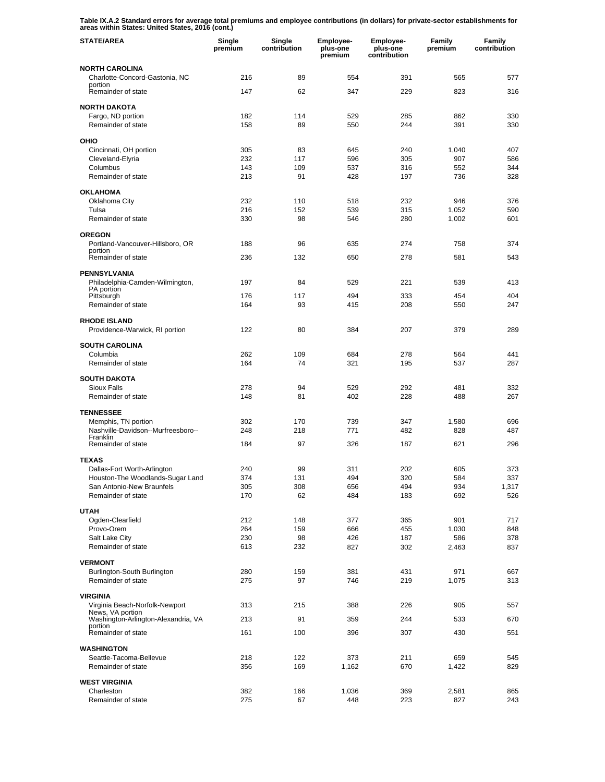**Table IX.A.2 Standard errors for average total premiums and employee contributions (in dollars) for private-sector establishments for areas within States: United States, 2016 (cont.)** 

| <b>STATE/AREA</b>                                               | Single<br>premium | Single<br>contribution | <b>Employee-</b><br>plus-one<br>premium | <b>Employee-</b><br>plus-one<br>contribution | Family<br>premium | Family<br>contribution |
|-----------------------------------------------------------------|-------------------|------------------------|-----------------------------------------|----------------------------------------------|-------------------|------------------------|
| <b>NORTH CAROLINA</b>                                           |                   |                        |                                         |                                              |                   |                        |
| Charlotte-Concord-Gastonia, NC<br>portion                       | 216               | 89                     | 554                                     | 391                                          | 565               | 577                    |
| Remainder of state                                              | 147               | 62                     | 347                                     | 229                                          | 823               | 316                    |
| <b>NORTH DAKOTA</b>                                             |                   |                        |                                         |                                              |                   |                        |
| Fargo, ND portion                                               | 182               | 114                    | 529                                     | 285                                          | 862               | 330                    |
| Remainder of state                                              | 158               | 89                     | 550                                     | 244                                          | 391               | 330                    |
| OHIO                                                            |                   |                        |                                         |                                              |                   |                        |
| Cincinnati, OH portion<br>Cleveland-Elyria                      | 305<br>232        | 83<br>117              | 645<br>596                              | 240                                          | 1,040             | 407<br>586             |
| Columbus                                                        | 143               | 109                    | 537                                     | 305<br>316                                   | 907<br>552        | 344                    |
| Remainder of state                                              | 213               | 91                     | 428                                     | 197                                          | 736               | 328                    |
| <b>OKLAHOMA</b>                                                 |                   |                        |                                         |                                              |                   |                        |
| Oklahoma City                                                   | 232               | 110                    | 518                                     | 232                                          | 946               | 376                    |
| Tulsa<br>Remainder of state                                     | 216<br>330        | 152<br>98              | 539<br>546                              | 315<br>280                                   | 1,052<br>1,002    | 590<br>601             |
|                                                                 |                   |                        |                                         |                                              |                   |                        |
| <b>OREGON</b>                                                   |                   |                        |                                         |                                              |                   |                        |
| Portland-Vancouver-Hillsboro, OR<br>portion                     | 188               | 96                     | 635                                     | 274                                          | 758               | 374                    |
| Remainder of state                                              | 236               | 132                    | 650                                     | 278                                          | 581               | 543                    |
| <b>PENNSYLVANIA</b>                                             |                   |                        |                                         |                                              |                   |                        |
| Philadelphia-Camden-Wilmington,<br>PA portion                   | 197               | 84                     | 529                                     | 221                                          | 539               | 413                    |
| Pittsburgh                                                      | 176               | 117                    | 494                                     | 333                                          | 454               | 404                    |
| Remainder of state                                              | 164               | 93                     | 415                                     | 208                                          | 550               | 247                    |
| <b>RHODE ISLAND</b><br>Providence-Warwick, RI portion           | 122               | 80                     | 384                                     | 207                                          | 379               | 289                    |
| <b>SOUTH CAROLINA</b>                                           |                   |                        |                                         |                                              |                   |                        |
| Columbia                                                        | 262               | 109                    | 684                                     | 278                                          | 564               | 441                    |
| Remainder of state                                              | 164               | 74                     | 321                                     | 195                                          | 537               | 287                    |
| <b>SOUTH DAKOTA</b>                                             |                   |                        |                                         |                                              |                   |                        |
| <b>Sioux Falls</b><br>Remainder of state                        | 278<br>148        | 94<br>81               | 529<br>402                              | 292<br>228                                   | 481<br>488        | 332<br>267             |
|                                                                 |                   |                        |                                         |                                              |                   |                        |
| <b>TENNESSEE</b>                                                |                   |                        |                                         |                                              |                   |                        |
| Memphis, TN portion<br>Nashville-Davidson--Murfreesboro--       | 302<br>248        | 170<br>218             | 739<br>771                              | 347<br>482                                   | 1,580<br>828      | 696<br>487             |
| Franklin<br>Remainder of state                                  | 184               | 97                     | 326                                     | 187                                          | 621               | 296                    |
|                                                                 |                   |                        |                                         |                                              |                   |                        |
| <b>TEXAS</b>                                                    | 240               | 99                     | 311                                     | 202                                          | 605               | 373                    |
| Dallas-Fort Worth-Arlington<br>Houston-The Woodlands-Sugar Land | 374               | 131                    | 494                                     | 320                                          | 584               | 337                    |
| San Antonio-New Braunfels                                       | 305               | 308                    | 656                                     | 494                                          | 934               | 1,317                  |
| Remainder of state                                              | 170               | 62                     | 484                                     | 183                                          | 692               | 526                    |
| <b>UTAH</b>                                                     |                   |                        |                                         |                                              |                   |                        |
| Ogden-Clearfield                                                | 212               | 148                    | 377                                     | 365                                          | 901               | 717                    |
| Provo-Orem<br>Salt Lake City                                    | 264<br>230        | 159<br>98              | 666<br>426                              | 455<br>187                                   | 1,030<br>586      | 848<br>378             |
| Remainder of state                                              | 613               | 232                    | 827                                     | 302                                          | 2,463             | 837                    |
|                                                                 |                   |                        |                                         |                                              |                   |                        |
| <b>VERMONT</b><br>Burlington-South Burlington                   | 280               | 159                    | 381                                     | 431                                          | 971               | 667                    |
| Remainder of state                                              | 275               | 97                     | 746                                     | 219                                          | 1,075             | 313                    |
| <b>VIRGINIA</b>                                                 |                   |                        |                                         |                                              |                   |                        |
| Virginia Beach-Norfolk-Newport                                  | 313               | 215                    | 388                                     | 226                                          | 905               | 557                    |
| News, VA portion<br>Washington-Arlington-Alexandria, VA         | 213               | 91                     | 359                                     | 244                                          | 533               | 670                    |
| portion<br>Remainder of state                                   | 161               | 100                    | 396                                     | 307                                          | 430               | 551                    |
|                                                                 |                   |                        |                                         |                                              |                   |                        |
| <b>WASHINGTON</b><br>Seattle-Tacoma-Bellevue                    | 218               | 122                    | 373                                     | 211                                          | 659               | 545                    |
| Remainder of state                                              | 356               | 169                    | 1,162                                   | 670                                          | 1,422             | 829                    |
| <b>WEST VIRGINIA</b>                                            |                   |                        |                                         |                                              |                   |                        |
| Charleston                                                      | 382               | 166                    | 1,036                                   | 369                                          | 2,581             | 865                    |
| Remainder of state                                              | 275               | 67                     | 448                                     | 223                                          | 827               | 243                    |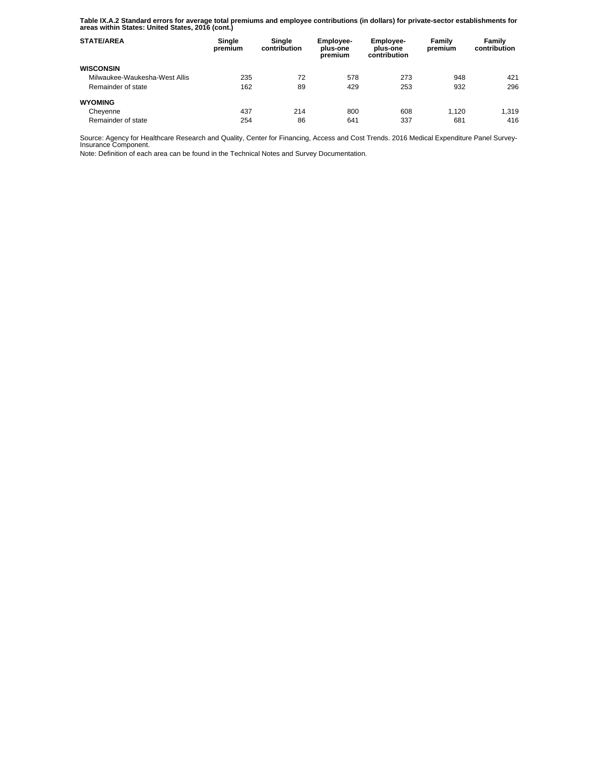**Table IX.A.2 Standard errors for average total premiums and employee contributions (in dollars) for private-sector establishments for areas within States: United States, 2016 (cont.)** 

| <b>STATE/AREA</b>             | Single<br>premium | Single<br>contribution | Employee-<br>plus-one<br>premium | <b>Employee-</b><br>plus-one<br>contribution | Family<br>premium | Family<br>contribution |
|-------------------------------|-------------------|------------------------|----------------------------------|----------------------------------------------|-------------------|------------------------|
| <b>WISCONSIN</b>              |                   |                        |                                  |                                              |                   |                        |
| Milwaukee-Waukesha-West Allis | 235               | 72                     | 578                              | 273                                          | 948               | 421                    |
| Remainder of state            | 162               | 89                     | 429                              | 253                                          | 932               | 296                    |
| <b>WYOMING</b>                |                   |                        |                                  |                                              |                   |                        |
| Cheyenne                      | 437               | 214                    | 800                              | 608                                          | 1.120             | 1,319                  |
| Remainder of state            | 254               | 86                     | 641                              | 337                                          | 681               | 416                    |

Source: Agency for Healthcare Research and Quality, Center for Financing, Access and Cost Trends. 2016 Medical Expenditure Panel Survey-Insurance Component.

Note: Definition of each area can be found in the Technical Notes and Survey Documentation.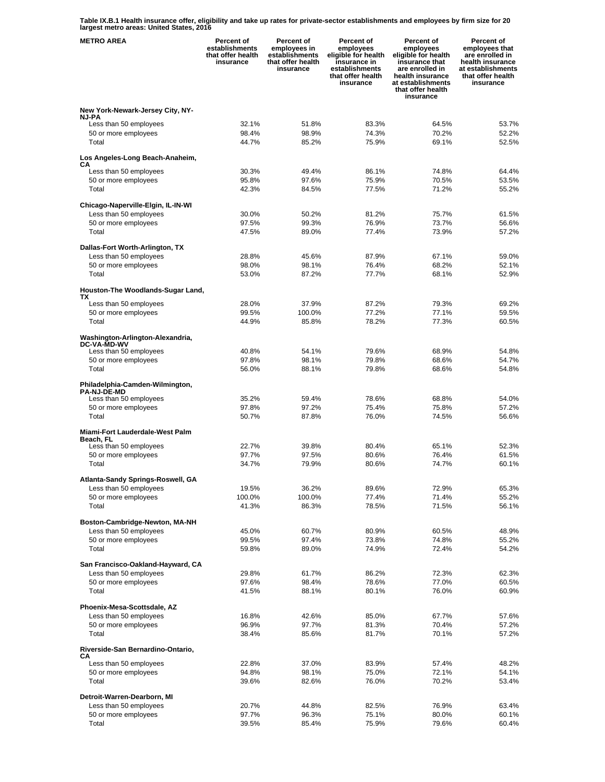**Table IX.B.1 Health insurance offer, eligibility and take up rates for private-sector establishments and employees by firm size for 20 largest metro areas: United States, 2016** 

| <b>METRO AREA</b>                                            | <b>Percent of</b><br>establishments<br>that offer health<br>insurance | Percent of<br>employees in<br>establishments<br>that offer health<br>insurance | Percent of<br>employees<br>eligible for health<br>insurance in<br>establishments<br>that offer health<br>insurance | Percent of<br>employees<br>eligible for health<br>insurance that<br>are enrolled in<br>health insurance<br>at establishments<br>that offer health<br>insurance | <b>Percent of</b><br>employees that<br>are enrolled in<br>health insurance<br>at establishments<br>that offer health<br>insurance |
|--------------------------------------------------------------|-----------------------------------------------------------------------|--------------------------------------------------------------------------------|--------------------------------------------------------------------------------------------------------------------|----------------------------------------------------------------------------------------------------------------------------------------------------------------|-----------------------------------------------------------------------------------------------------------------------------------|
| New York-Newark-Jersey City, NY-                             |                                                                       |                                                                                |                                                                                                                    |                                                                                                                                                                |                                                                                                                                   |
| <b>NJ-PA</b><br>Less than 50 employees                       | 32.1%                                                                 | 51.8%                                                                          | 83.3%                                                                                                              | 64.5%                                                                                                                                                          | 53.7%                                                                                                                             |
| 50 or more employees                                         | 98.4%                                                                 | 98.9%                                                                          | 74.3%                                                                                                              | 70.2%                                                                                                                                                          | 52.2%                                                                                                                             |
| Total                                                        | 44.7%                                                                 | 85.2%                                                                          | 75.9%                                                                                                              | 69.1%                                                                                                                                                          | 52.5%                                                                                                                             |
| Los Angeles-Long Beach-Anaheim,<br>CА                        |                                                                       |                                                                                |                                                                                                                    |                                                                                                                                                                |                                                                                                                                   |
| Less than 50 employees                                       | 30.3%                                                                 | 49.4%                                                                          | 86.1%                                                                                                              | 74.8%                                                                                                                                                          | 64.4%                                                                                                                             |
| 50 or more employees<br>Total                                | 95.8%<br>42.3%                                                        | 97.6%<br>84.5%                                                                 | 75.9%<br>77.5%                                                                                                     | 70.5%<br>71.2%                                                                                                                                                 | 53.5%<br>55.2%                                                                                                                    |
|                                                              |                                                                       |                                                                                |                                                                                                                    |                                                                                                                                                                |                                                                                                                                   |
| Chicago-Naperville-Elgin, IL-IN-WI<br>Less than 50 employees | 30.0%                                                                 | 50.2%                                                                          | 81.2%                                                                                                              | 75.7%                                                                                                                                                          | 61.5%                                                                                                                             |
| 50 or more employees                                         | 97.5%                                                                 | 99.3%                                                                          | 76.9%                                                                                                              | 73.7%                                                                                                                                                          | 56.6%                                                                                                                             |
| Total                                                        | 47.5%                                                                 | 89.0%                                                                          | 77.4%                                                                                                              | 73.9%                                                                                                                                                          | 57.2%                                                                                                                             |
| Dallas-Fort Worth-Arlington, TX                              |                                                                       |                                                                                |                                                                                                                    |                                                                                                                                                                |                                                                                                                                   |
| Less than 50 employees                                       | 28.8%                                                                 | 45.6%                                                                          | 87.9%                                                                                                              | 67.1%                                                                                                                                                          | 59.0%                                                                                                                             |
| 50 or more employees                                         | 98.0%                                                                 | 98.1%                                                                          | 76.4%                                                                                                              | 68.2%                                                                                                                                                          | 52.1%                                                                                                                             |
| Total                                                        | 53.0%                                                                 | 87.2%                                                                          | 77.7%                                                                                                              | 68.1%                                                                                                                                                          | 52.9%                                                                                                                             |
| Houston-The Woodlands-Sugar Land,                            |                                                                       |                                                                                |                                                                                                                    |                                                                                                                                                                |                                                                                                                                   |
| ТX<br>Less than 50 employees                                 | 28.0%                                                                 | 37.9%                                                                          | 87.2%                                                                                                              | 79.3%                                                                                                                                                          | 69.2%                                                                                                                             |
| 50 or more employees                                         | 99.5%                                                                 | 100.0%                                                                         | 77.2%                                                                                                              | 77.1%                                                                                                                                                          | 59.5%                                                                                                                             |
| Total                                                        | 44.9%                                                                 | 85.8%                                                                          | 78.2%                                                                                                              | 77.3%                                                                                                                                                          | 60.5%                                                                                                                             |
| Washington-Arlington-Alexandria,<br><b>DC-VA-MD-WV</b>       |                                                                       |                                                                                |                                                                                                                    |                                                                                                                                                                |                                                                                                                                   |
| Less than 50 employees<br>50 or more employees               | 40.8%<br>97.8%                                                        | 54.1%<br>98.1%                                                                 | 79.6%<br>79.8%                                                                                                     | 68.9%<br>68.6%                                                                                                                                                 | 54.8%<br>54.7%                                                                                                                    |
| Total                                                        | 56.0%                                                                 | 88.1%                                                                          | 79.8%                                                                                                              | 68.6%                                                                                                                                                          | 54.8%                                                                                                                             |
| Philadelphia-Camden-Wilmington,<br><b>PA-NJ-DE-MD</b>        |                                                                       |                                                                                |                                                                                                                    |                                                                                                                                                                |                                                                                                                                   |
| Less than 50 employees                                       | 35.2%                                                                 | 59.4%                                                                          | 78.6%                                                                                                              | 68.8%                                                                                                                                                          | 54.0%                                                                                                                             |
| 50 or more employees<br>Total                                | 97.8%<br>50.7%                                                        | 97.2%<br>87.8%                                                                 | 75.4%<br>76.0%                                                                                                     | 75.8%<br>74.5%                                                                                                                                                 | 57.2%<br>56.6%                                                                                                                    |
|                                                              |                                                                       |                                                                                |                                                                                                                    |                                                                                                                                                                |                                                                                                                                   |
| Miami-Fort Lauderdale-West Palm<br>Beach. FL                 |                                                                       |                                                                                |                                                                                                                    |                                                                                                                                                                |                                                                                                                                   |
| Less than 50 employees                                       | 22.7%                                                                 | 39.8%                                                                          | 80.4%                                                                                                              | 65.1%                                                                                                                                                          | 52.3%                                                                                                                             |
| 50 or more employees<br>Total                                | 97.7%<br>34.7%                                                        | 97.5%<br>79.9%                                                                 | 80.6%<br>80.6%                                                                                                     | 76.4%<br>74.7%                                                                                                                                                 | 61.5%<br>60.1%                                                                                                                    |
|                                                              |                                                                       |                                                                                |                                                                                                                    |                                                                                                                                                                |                                                                                                                                   |
| Atlanta-Sandy Springs-Roswell, GA<br>Less than 50 employees  | 19.5%                                                                 | 36.2%                                                                          | 89.6%                                                                                                              | 72.9%                                                                                                                                                          | 65.3%                                                                                                                             |
| 50 or more employees                                         | 100.0%                                                                | 100.0%                                                                         | 77.4%                                                                                                              | 71.4%                                                                                                                                                          | 55.2%                                                                                                                             |
| Total                                                        | 41.3%                                                                 | 86.3%                                                                          | 78.5%                                                                                                              | 71.5%                                                                                                                                                          | 56.1%                                                                                                                             |
| Boston-Cambridge-Newton, MA-NH                               |                                                                       |                                                                                |                                                                                                                    |                                                                                                                                                                |                                                                                                                                   |
| Less than 50 employees                                       | 45.0%                                                                 | 60.7%                                                                          | 80.9%                                                                                                              | 60.5%                                                                                                                                                          | 48.9%                                                                                                                             |
| 50 or more employees                                         | 99.5%                                                                 | 97.4%                                                                          | 73.8%                                                                                                              | 74.8%                                                                                                                                                          | 55.2%                                                                                                                             |
| Total                                                        | 59.8%                                                                 | 89.0%                                                                          | 74.9%                                                                                                              | 72.4%                                                                                                                                                          | 54.2%                                                                                                                             |
| San Francisco-Oakland-Hayward, CA                            |                                                                       |                                                                                |                                                                                                                    |                                                                                                                                                                |                                                                                                                                   |
| Less than 50 employees                                       | 29.8%                                                                 | 61.7%                                                                          | 86.2%                                                                                                              | 72.3%                                                                                                                                                          | 62.3%                                                                                                                             |
| 50 or more employees<br>Total                                | 97.6%<br>41.5%                                                        | 98.4%<br>88.1%                                                                 | 78.6%<br>80.1%                                                                                                     | 77.0%<br>76.0%                                                                                                                                                 | 60.5%<br>60.9%                                                                                                                    |
|                                                              |                                                                       |                                                                                |                                                                                                                    |                                                                                                                                                                |                                                                                                                                   |
| Phoenix-Mesa-Scottsdale, AZ<br>Less than 50 employees        | 16.8%                                                                 | 42.6%                                                                          | 85.0%                                                                                                              | 67.7%                                                                                                                                                          | 57.6%                                                                                                                             |
| 50 or more employees                                         | 96.9%                                                                 | 97.7%                                                                          | 81.3%                                                                                                              | 70.4%                                                                                                                                                          | 57.2%                                                                                                                             |
| Total                                                        | 38.4%                                                                 | 85.6%                                                                          | 81.7%                                                                                                              | 70.1%                                                                                                                                                          | 57.2%                                                                                                                             |
| Riverside-San Bernardino-Ontario,<br>CА                      |                                                                       |                                                                                |                                                                                                                    |                                                                                                                                                                |                                                                                                                                   |
| Less than 50 employees                                       | 22.8%                                                                 | 37.0%                                                                          | 83.9%                                                                                                              | 57.4%                                                                                                                                                          | 48.2%                                                                                                                             |
| 50 or more employees<br>Total                                | 94.8%<br>39.6%                                                        | 98.1%<br>82.6%                                                                 | 75.0%<br>76.0%                                                                                                     | 72.1%<br>70.2%                                                                                                                                                 | 54.1%<br>53.4%                                                                                                                    |
|                                                              |                                                                       |                                                                                |                                                                                                                    |                                                                                                                                                                |                                                                                                                                   |
| Detroit-Warren-Dearborn, MI                                  |                                                                       |                                                                                |                                                                                                                    |                                                                                                                                                                |                                                                                                                                   |
| Less than 50 employees<br>50 or more employees               | 20.7%<br>97.7%                                                        | 44.8%<br>96.3%                                                                 | 82.5%<br>75.1%                                                                                                     | 76.9%<br>80.0%                                                                                                                                                 | 63.4%<br>60.1%                                                                                                                    |
| Total                                                        | 39.5%                                                                 | 85.4%                                                                          | 75.9%                                                                                                              | 79.6%                                                                                                                                                          | 60.4%                                                                                                                             |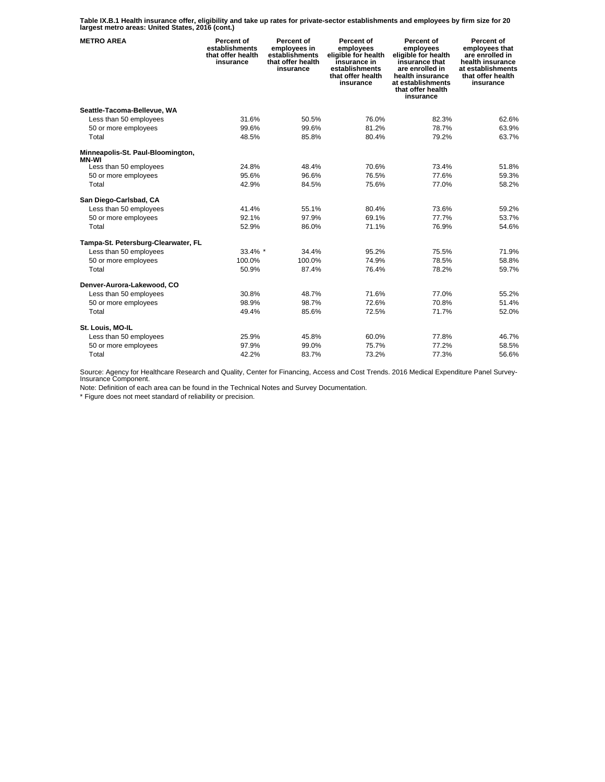**Table IX.B.1 Health insurance offer, eligibility and take up rates for private-sector establishments and employees by firm size for 20 largest metro areas: United States, 2016 (cont.)** 

| <b>METRO AREA</b>                                 | Percent of<br>establishments<br>that offer health<br>insurance | Percent of<br>employees in<br>establishments<br>that offer health<br>insurance | Percent of<br>employees<br>eligible for health<br>insurance in<br>establishments<br>that offer health<br>insurance | Percent of<br>employees<br>eligible for health<br>insurance that<br>are enrolled in<br>health insurance<br>at establishments<br>that offer health<br>insurance | Percent of<br>employees that<br>are enrolled in<br>health insurance<br>at establishments<br>that offer health<br>insurance |
|---------------------------------------------------|----------------------------------------------------------------|--------------------------------------------------------------------------------|--------------------------------------------------------------------------------------------------------------------|----------------------------------------------------------------------------------------------------------------------------------------------------------------|----------------------------------------------------------------------------------------------------------------------------|
| Seattle-Tacoma-Bellevue, WA                       |                                                                |                                                                                |                                                                                                                    |                                                                                                                                                                |                                                                                                                            |
| Less than 50 employees                            | 31.6%                                                          | 50.5%                                                                          | 76.0%                                                                                                              | 82.3%                                                                                                                                                          | 62.6%                                                                                                                      |
| 50 or more employees                              | 99.6%                                                          | 99.6%                                                                          | 81.2%                                                                                                              | 78.7%                                                                                                                                                          | 63.9%                                                                                                                      |
| Total                                             | 48.5%                                                          | 85.8%                                                                          | 80.4%                                                                                                              | 79.2%                                                                                                                                                          | 63.7%                                                                                                                      |
| Minneapolis-St. Paul-Bloomington,<br><b>MN-WI</b> |                                                                |                                                                                |                                                                                                                    |                                                                                                                                                                |                                                                                                                            |
| Less than 50 employees                            | 24.8%                                                          | 48.4%                                                                          | 70.6%                                                                                                              | 73.4%                                                                                                                                                          | 51.8%                                                                                                                      |
| 50 or more employees                              | 95.6%                                                          | 96.6%                                                                          | 76.5%                                                                                                              | 77.6%                                                                                                                                                          | 59.3%                                                                                                                      |
| Total                                             | 42.9%                                                          | 84.5%                                                                          | 75.6%                                                                                                              | 77.0%                                                                                                                                                          | 58.2%                                                                                                                      |
| San Diego-Carlsbad, CA                            |                                                                |                                                                                |                                                                                                                    |                                                                                                                                                                |                                                                                                                            |
| Less than 50 employees                            | 41.4%                                                          | 55.1%                                                                          | 80.4%                                                                                                              | 73.6%                                                                                                                                                          | 59.2%                                                                                                                      |
| 50 or more employees                              | 92.1%                                                          | 97.9%                                                                          | 69.1%                                                                                                              | 77.7%                                                                                                                                                          | 53.7%                                                                                                                      |
| Total                                             | 52.9%                                                          | 86.0%                                                                          | 71.1%                                                                                                              | 76.9%                                                                                                                                                          | 54.6%                                                                                                                      |
| Tampa-St. Petersburg-Clearwater, FL               |                                                                |                                                                                |                                                                                                                    |                                                                                                                                                                |                                                                                                                            |
| Less than 50 employees                            | 33.4% *                                                        | 34.4%                                                                          | 95.2%                                                                                                              | 75.5%                                                                                                                                                          | 71.9%                                                                                                                      |
| 50 or more employees                              | 100.0%                                                         | 100.0%                                                                         | 74.9%                                                                                                              | 78.5%                                                                                                                                                          | 58.8%                                                                                                                      |
| Total                                             | 50.9%                                                          | 87.4%                                                                          | 76.4%                                                                                                              | 78.2%                                                                                                                                                          | 59.7%                                                                                                                      |
| Denver-Aurora-Lakewood, CO                        |                                                                |                                                                                |                                                                                                                    |                                                                                                                                                                |                                                                                                                            |
| Less than 50 employees                            | 30.8%                                                          | 48.7%                                                                          | 71.6%                                                                                                              | 77.0%                                                                                                                                                          | 55.2%                                                                                                                      |
| 50 or more employees                              | 98.9%                                                          | 98.7%                                                                          | 72.6%                                                                                                              | 70.8%                                                                                                                                                          | 51.4%                                                                                                                      |
| Total                                             | 49.4%                                                          | 85.6%                                                                          | 72.5%                                                                                                              | 71.7%                                                                                                                                                          | 52.0%                                                                                                                      |
| St. Louis, MO-IL                                  |                                                                |                                                                                |                                                                                                                    |                                                                                                                                                                |                                                                                                                            |
| Less than 50 employees                            | 25.9%                                                          | 45.8%                                                                          | 60.0%                                                                                                              | 77.8%                                                                                                                                                          | 46.7%                                                                                                                      |
| 50 or more employees                              | 97.9%                                                          | 99.0%                                                                          | 75.7%                                                                                                              | 77.2%                                                                                                                                                          | 58.5%                                                                                                                      |
| Total                                             | 42.2%                                                          | 83.7%                                                                          | 73.2%                                                                                                              | 77.3%                                                                                                                                                          | 56.6%                                                                                                                      |

Source: Agency for Healthcare Research and Quality, Center for Financing, Access and Cost Trends. 2016 Medical Expenditure Panel Survey-Insurance Component.

Note: Definition of each area can be found in the Technical Notes and Survey Documentation.

\* Figure does not meet standard of reliability or precision.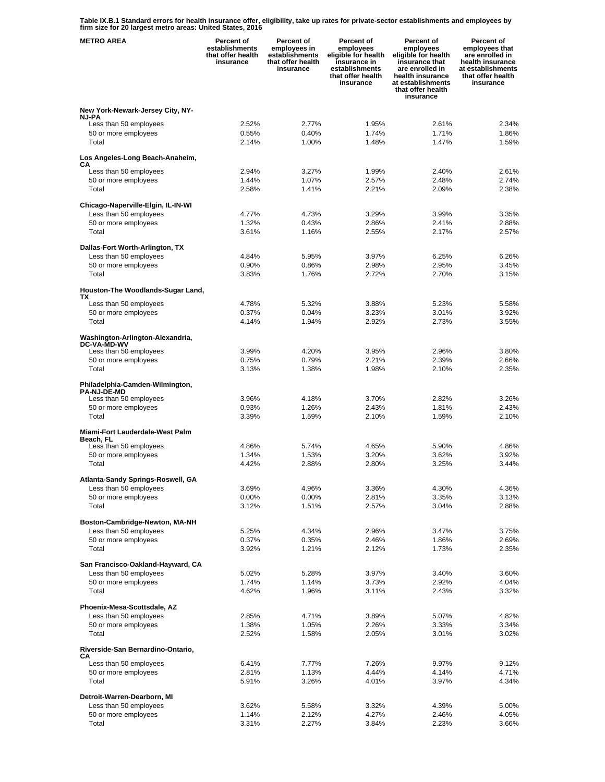**Table IX.B.1 Standard errors for health insurance offer, eligibility, take up rates for private-sector establishments and employees by firm size for 20 largest metro areas: United States, 2016** 

| <b>METRO AREA</b>                                           | Percent of<br>establishments<br>that offer health<br>insurance | Percent of<br>employees in<br>establishments<br>that offer health<br>insurance | Percent of<br>employees<br>eligible for health<br>insurance in<br>establishments<br>that offer health<br>insurance | Percent of<br>employees<br>eligible for health<br>insurance that<br>are enrolled in<br>health insurance<br>at establishments<br>that offer health<br>insurance | Percent of<br>employees that<br>are enrolled in<br>health insurance<br>at establishments<br>that offer health<br>insurance |
|-------------------------------------------------------------|----------------------------------------------------------------|--------------------------------------------------------------------------------|--------------------------------------------------------------------------------------------------------------------|----------------------------------------------------------------------------------------------------------------------------------------------------------------|----------------------------------------------------------------------------------------------------------------------------|
| New York-Newark-Jersey City, NY-                            |                                                                |                                                                                |                                                                                                                    |                                                                                                                                                                |                                                                                                                            |
| <b>NJ-PA</b>                                                |                                                                |                                                                                |                                                                                                                    |                                                                                                                                                                |                                                                                                                            |
| Less than 50 employees<br>50 or more employees              | 2.52%<br>0.55%                                                 | 2.77%<br>0.40%                                                                 | 1.95%<br>1.74%                                                                                                     | 2.61%<br>1.71%                                                                                                                                                 | 2.34%<br>1.86%                                                                                                             |
| Total                                                       | 2.14%                                                          | 1.00%                                                                          | 1.48%                                                                                                              | 1.47%                                                                                                                                                          | 1.59%                                                                                                                      |
| Los Angeles-Long Beach-Anaheim,<br>CА                       |                                                                |                                                                                |                                                                                                                    |                                                                                                                                                                |                                                                                                                            |
| Less than 50 employees                                      | 2.94%                                                          | 3.27%                                                                          | 1.99%                                                                                                              | 2.40%                                                                                                                                                          | 2.61%                                                                                                                      |
| 50 or more employees                                        | 1.44%                                                          | 1.07%                                                                          | 2.57%                                                                                                              | 2.48%                                                                                                                                                          | 2.74%                                                                                                                      |
| Total                                                       | 2.58%                                                          | 1.41%                                                                          | 2.21%                                                                                                              | 2.09%                                                                                                                                                          | 2.38%                                                                                                                      |
| Chicago-Naperville-Elgin, IL-IN-WI                          |                                                                |                                                                                |                                                                                                                    |                                                                                                                                                                |                                                                                                                            |
| Less than 50 employees                                      | 4.77%                                                          | 4.73%                                                                          | 3.29%                                                                                                              | 3.99%                                                                                                                                                          | 3.35%                                                                                                                      |
| 50 or more employees                                        | 1.32%                                                          | 0.43%                                                                          | 2.86%                                                                                                              | 2.41%                                                                                                                                                          | 2.88%                                                                                                                      |
| Total                                                       | 3.61%                                                          | 1.16%                                                                          | 2.55%                                                                                                              | 2.17%                                                                                                                                                          | 2.57%                                                                                                                      |
| Dallas-Fort Worth-Arlington, TX                             |                                                                |                                                                                |                                                                                                                    |                                                                                                                                                                |                                                                                                                            |
| Less than 50 employees                                      | 4.84%<br>0.90%                                                 | 5.95%<br>0.86%                                                                 | 3.97%<br>2.98%                                                                                                     | 6.25%<br>2.95%                                                                                                                                                 | 6.26%<br>3.45%                                                                                                             |
| 50 or more employees<br>Total                               | 3.83%                                                          | 1.76%                                                                          | 2.72%                                                                                                              | 2.70%                                                                                                                                                          | 3.15%                                                                                                                      |
|                                                             |                                                                |                                                                                |                                                                                                                    |                                                                                                                                                                |                                                                                                                            |
| Houston-The Woodlands-Sugar Land,<br>ТX                     |                                                                |                                                                                |                                                                                                                    |                                                                                                                                                                |                                                                                                                            |
| Less than 50 employees                                      | 4.78%                                                          | 5.32%                                                                          | 3.88%                                                                                                              | 5.23%                                                                                                                                                          | 5.58%                                                                                                                      |
| 50 or more employees                                        | 0.37%                                                          | 0.04%                                                                          | 3.23%                                                                                                              | 3.01%                                                                                                                                                          | 3.92%                                                                                                                      |
| Total                                                       | 4.14%                                                          | 1.94%                                                                          | 2.92%                                                                                                              | 2.73%                                                                                                                                                          | 3.55%                                                                                                                      |
| Washington-Arlington-Alexandria,<br>DC-VA-MD-WV             |                                                                |                                                                                |                                                                                                                    |                                                                                                                                                                |                                                                                                                            |
| Less than 50 employees                                      | 3.99%                                                          | 4.20%                                                                          | 3.95%                                                                                                              | 2.96%                                                                                                                                                          | 3.80%                                                                                                                      |
| 50 or more employees<br>Total                               | 0.75%<br>3.13%                                                 | 0.79%<br>1.38%                                                                 | 2.21%<br>1.98%                                                                                                     | 2.39%<br>2.10%                                                                                                                                                 | 2.66%<br>2.35%                                                                                                             |
|                                                             |                                                                |                                                                                |                                                                                                                    |                                                                                                                                                                |                                                                                                                            |
| Philadelphia-Camden-Wilmington,<br><b>PA-NJ-DE-MD</b>       |                                                                |                                                                                |                                                                                                                    |                                                                                                                                                                |                                                                                                                            |
| Less than 50 employees                                      | 3.96%                                                          | 4.18%                                                                          | 3.70%                                                                                                              | 2.82%                                                                                                                                                          | 3.26%                                                                                                                      |
| 50 or more employees                                        | 0.93%                                                          | 1.26%                                                                          | 2.43%                                                                                                              | 1.81%                                                                                                                                                          | 2.43%                                                                                                                      |
| Total                                                       | 3.39%                                                          | 1.59%                                                                          | 2.10%                                                                                                              | 1.59%                                                                                                                                                          | 2.10%                                                                                                                      |
| Miami-Fort Lauderdale-West Palm<br>Beach, FL                |                                                                |                                                                                |                                                                                                                    |                                                                                                                                                                |                                                                                                                            |
| Less than 50 employees                                      | 4.86%                                                          | 5.74%                                                                          | 4.65%                                                                                                              | 5.90%                                                                                                                                                          | 4.86%                                                                                                                      |
| 50 or more employees                                        | 1.34%                                                          | 1.53%                                                                          | 3.20%                                                                                                              | 3.62%                                                                                                                                                          | 3.92%                                                                                                                      |
| Total                                                       | 4.42%                                                          | 2.88%                                                                          | 2.80%                                                                                                              | 3.25%                                                                                                                                                          | 3.44%                                                                                                                      |
| Atlanta-Sandy Springs-Roswell, GA                           |                                                                |                                                                                |                                                                                                                    |                                                                                                                                                                |                                                                                                                            |
| Less than 50 employees                                      | 3.69%                                                          | 4.96%                                                                          | 3.36%                                                                                                              | 4.30%                                                                                                                                                          | 4.36%                                                                                                                      |
| 50 or more employees<br>Total                               | 0.00%<br>3.12%                                                 | 0.00%<br>1.51%                                                                 | 2.81%<br>2.57%                                                                                                     | 3.35%<br>3.04%                                                                                                                                                 | 3.13%<br>2.88%                                                                                                             |
|                                                             |                                                                |                                                                                |                                                                                                                    |                                                                                                                                                                |                                                                                                                            |
| Boston-Cambridge-Newton, MA-NH                              |                                                                |                                                                                |                                                                                                                    |                                                                                                                                                                |                                                                                                                            |
| Less than 50 employees<br>50 or more employees              | 5.25%<br>0.37%                                                 | 4.34%<br>0.35%                                                                 | 2.96%<br>2.46%                                                                                                     | 3.47%<br>1.86%                                                                                                                                                 | 3.75%<br>2.69%                                                                                                             |
| Total                                                       | 3.92%                                                          | 1.21%                                                                          | 2.12%                                                                                                              | 1.73%                                                                                                                                                          | 2.35%                                                                                                                      |
|                                                             |                                                                |                                                                                |                                                                                                                    |                                                                                                                                                                |                                                                                                                            |
| San Francisco-Oakland-Hayward, CA<br>Less than 50 employees | 5.02%                                                          | 5.28%                                                                          | 3.97%                                                                                                              | 3.40%                                                                                                                                                          | 3.60%                                                                                                                      |
| 50 or more employees                                        | 1.74%                                                          | 1.14%                                                                          | 3.73%                                                                                                              | 2.92%                                                                                                                                                          | 4.04%                                                                                                                      |
| Total                                                       | 4.62%                                                          | 1.96%                                                                          | 3.11%                                                                                                              | 2.43%                                                                                                                                                          | 3.32%                                                                                                                      |
| Phoenix-Mesa-Scottsdale, AZ                                 |                                                                |                                                                                |                                                                                                                    |                                                                                                                                                                |                                                                                                                            |
| Less than 50 employees                                      | 2.85%                                                          | 4.71%                                                                          | 3.89%                                                                                                              | 5.07%                                                                                                                                                          | 4.82%                                                                                                                      |
| 50 or more employees                                        | 1.38%                                                          | 1.05%                                                                          | 2.26%                                                                                                              | 3.33%                                                                                                                                                          | 3.34%                                                                                                                      |
| Total                                                       | 2.52%                                                          | 1.58%                                                                          | 2.05%                                                                                                              | 3.01%                                                                                                                                                          | 3.02%                                                                                                                      |
| Riverside-San Bernardino-Ontario,<br>CА                     |                                                                |                                                                                |                                                                                                                    |                                                                                                                                                                |                                                                                                                            |
| Less than 50 employees                                      | 6.41%                                                          | 7.77%                                                                          | 7.26%                                                                                                              | 9.97%                                                                                                                                                          | 9.12%                                                                                                                      |
| 50 or more employees                                        | 2.81%                                                          | 1.13%                                                                          | 4.44%                                                                                                              | 4.14%                                                                                                                                                          | 4.71%                                                                                                                      |
| Total                                                       | 5.91%                                                          | 3.26%                                                                          | 4.01%                                                                                                              | 3.97%                                                                                                                                                          | 4.34%                                                                                                                      |
| Detroit-Warren-Dearborn, MI                                 |                                                                |                                                                                |                                                                                                                    |                                                                                                                                                                |                                                                                                                            |
| Less than 50 employees                                      | 3.62%                                                          | 5.58%                                                                          | 3.32%                                                                                                              | 4.39%                                                                                                                                                          | 5.00%                                                                                                                      |
| 50 or more employees<br>Total                               | 1.14%<br>3.31%                                                 | 2.12%<br>2.27%                                                                 | 4.27%<br>3.84%                                                                                                     | 2.46%<br>2.23%                                                                                                                                                 | 4.05%<br>3.66%                                                                                                             |
|                                                             |                                                                |                                                                                |                                                                                                                    |                                                                                                                                                                |                                                                                                                            |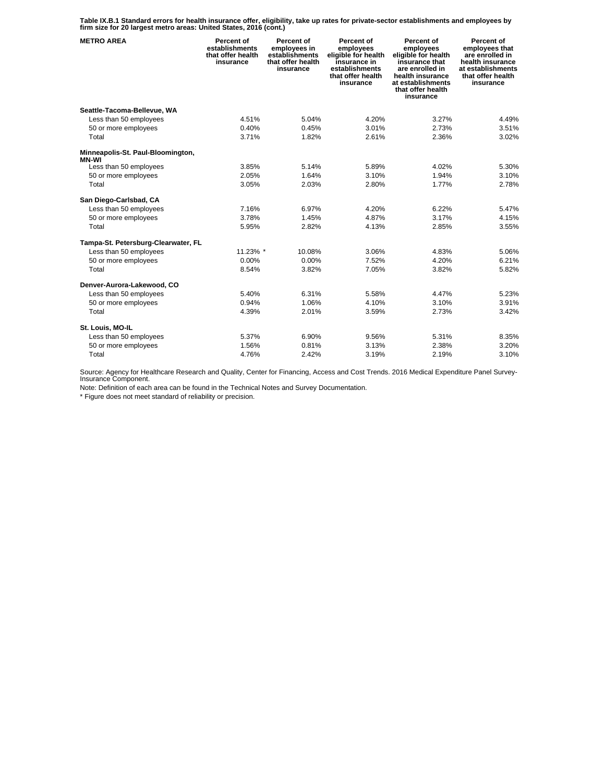**Table IX.B.1 Standard errors for health insurance offer, eligibility, take up rates for private-sector establishments and employees by firm size for 20 largest metro areas: United States, 2016 (cont.)** 

| <b>METRO AREA</b>                                 | Percent of<br>establishments<br>that offer health<br>insurance | Percent of<br>employees in<br>establishments<br>that offer health<br>insurance | Percent of<br>employees<br>eligible for health<br>insurance in<br>establishments<br>that offer health<br>insurance | Percent of<br>employees<br>eligible for health<br>insurance that<br>are enrolled in<br>health insurance<br>at establishments<br>that offer health<br>insurance | Percent of<br>employees that<br>are enrolled in<br>health insurance<br>at establishments<br>that offer health<br>insurance |
|---------------------------------------------------|----------------------------------------------------------------|--------------------------------------------------------------------------------|--------------------------------------------------------------------------------------------------------------------|----------------------------------------------------------------------------------------------------------------------------------------------------------------|----------------------------------------------------------------------------------------------------------------------------|
| Seattle-Tacoma-Bellevue, WA                       |                                                                |                                                                                |                                                                                                                    |                                                                                                                                                                |                                                                                                                            |
| Less than 50 employees                            | 4.51%                                                          | 5.04%                                                                          | 4.20%                                                                                                              | 3.27%                                                                                                                                                          | 4.49%                                                                                                                      |
| 50 or more employees                              | 0.40%                                                          | 0.45%                                                                          | 3.01%                                                                                                              | 2.73%                                                                                                                                                          | 3.51%                                                                                                                      |
| Total                                             | 3.71%                                                          | 1.82%                                                                          | 2.61%                                                                                                              | 2.36%                                                                                                                                                          | 3.02%                                                                                                                      |
| Minneapolis-St. Paul-Bloomington,<br><b>MN-WI</b> |                                                                |                                                                                |                                                                                                                    |                                                                                                                                                                |                                                                                                                            |
| Less than 50 employees                            | 3.85%                                                          | 5.14%                                                                          | 5.89%                                                                                                              | 4.02%                                                                                                                                                          | 5.30%                                                                                                                      |
| 50 or more employees                              | 2.05%                                                          | 1.64%                                                                          | 3.10%                                                                                                              | 1.94%                                                                                                                                                          | 3.10%                                                                                                                      |
| Total                                             | 3.05%                                                          | 2.03%                                                                          | 2.80%                                                                                                              | 1.77%                                                                                                                                                          | 2.78%                                                                                                                      |
| San Diego-Carlsbad, CA                            |                                                                |                                                                                |                                                                                                                    |                                                                                                                                                                |                                                                                                                            |
| Less than 50 employees                            | 7.16%                                                          | 6.97%                                                                          | 4.20%                                                                                                              | 6.22%                                                                                                                                                          | 5.47%                                                                                                                      |
| 50 or more employees                              | 3.78%                                                          | 1.45%                                                                          | 4.87%                                                                                                              | 3.17%                                                                                                                                                          | 4.15%                                                                                                                      |
| Total                                             | 5.95%                                                          | 2.82%                                                                          | 4.13%                                                                                                              | 2.85%                                                                                                                                                          | 3.55%                                                                                                                      |
| Tampa-St. Petersburg-Clearwater, FL               |                                                                |                                                                                |                                                                                                                    |                                                                                                                                                                |                                                                                                                            |
| Less than 50 employees                            | 11.23% *                                                       | 10.08%                                                                         | 3.06%                                                                                                              | 4.83%                                                                                                                                                          | 5.06%                                                                                                                      |
| 50 or more employees                              | $0.00\%$                                                       | 0.00%                                                                          | 7.52%                                                                                                              | 4.20%                                                                                                                                                          | 6.21%                                                                                                                      |
| Total                                             | 8.54%                                                          | 3.82%                                                                          | 7.05%                                                                                                              | 3.82%                                                                                                                                                          | 5.82%                                                                                                                      |
| Denver-Aurora-Lakewood, CO                        |                                                                |                                                                                |                                                                                                                    |                                                                                                                                                                |                                                                                                                            |
| Less than 50 employees                            | 5.40%                                                          | 6.31%                                                                          | 5.58%                                                                                                              | 4.47%                                                                                                                                                          | 5.23%                                                                                                                      |
| 50 or more employees                              | 0.94%                                                          | 1.06%                                                                          | 4.10%                                                                                                              | 3.10%                                                                                                                                                          | 3.91%                                                                                                                      |
| Total                                             | 4.39%                                                          | 2.01%                                                                          | 3.59%                                                                                                              | 2.73%                                                                                                                                                          | 3.42%                                                                                                                      |
| St. Louis, MO-IL                                  |                                                                |                                                                                |                                                                                                                    |                                                                                                                                                                |                                                                                                                            |
| Less than 50 employees                            | 5.37%                                                          | 6.90%                                                                          | 9.56%                                                                                                              | 5.31%                                                                                                                                                          | 8.35%                                                                                                                      |
| 50 or more employees                              | 1.56%                                                          | 0.81%                                                                          | 3.13%                                                                                                              | 2.38%                                                                                                                                                          | 3.20%                                                                                                                      |
| Total                                             | 4.76%                                                          | 2.42%                                                                          | 3.19%                                                                                                              | 2.19%                                                                                                                                                          | 3.10%                                                                                                                      |

Source: Agency for Healthcare Research and Quality, Center for Financing, Access and Cost Trends. 2016 Medical Expenditure Panel Survey-Insurance Component.

Note: Definition of each area can be found in the Technical Notes and Survey Documentation.

\* Figure does not meet standard of reliability or precision.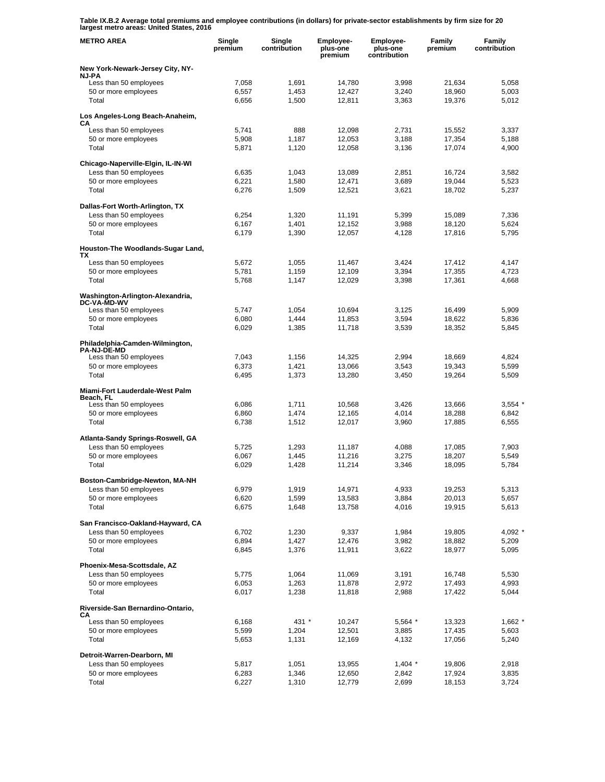**Table IX.B.2 Average total premiums and employee contributions (in dollars) for private-sector establishments by firm size for 20 largest metro areas: United States, 2016** 

| <b>METRO AREA</b>                                      | Single<br>premium | Single<br>contribution | Employee-<br>plus-one<br>premium | Employee-<br>plus-one<br>contribution | Family<br>premium | Family<br>contribution |
|--------------------------------------------------------|-------------------|------------------------|----------------------------------|---------------------------------------|-------------------|------------------------|
| New York-Newark-Jersey City, NY-<br><b>NJ-PA</b>       |                   |                        |                                  |                                       |                   |                        |
| Less than 50 employees                                 | 7,058             | 1,691                  | 14,780                           | 3,998                                 | 21,634            | 5,058                  |
| 50 or more employees                                   | 6,557             | 1,453                  | 12,427                           | 3,240                                 | 18,960            | 5,003                  |
| Total                                                  | 6,656             | 1,500                  | 12,811                           | 3,363                                 | 19,376            | 5,012                  |
| Los Angeles-Long Beach-Anaheim,<br>CА                  |                   |                        |                                  |                                       |                   |                        |
| Less than 50 employees                                 | 5,741             | 888                    | 12,098                           | 2,731                                 | 15,552            | 3,337                  |
| 50 or more employees                                   | 5,908             | 1,187                  | 12,053                           | 3,188                                 | 17,354            | 5,188                  |
| Total                                                  | 5,871             | 1,120                  | 12,058                           | 3,136                                 | 17,074            | 4,900                  |
| Chicago-Naperville-Elgin, IL-IN-WI                     |                   |                        |                                  |                                       |                   |                        |
| Less than 50 employees                                 | 6,635             | 1,043                  | 13,089                           | 2,851                                 | 16,724            | 3,582                  |
| 50 or more employees<br>Total                          | 6,221<br>6,276    | 1,580                  | 12,471<br>12,521                 | 3,689<br>3,621                        | 19,044<br>18,702  | 5,523<br>5,237         |
|                                                        |                   | 1,509                  |                                  |                                       |                   |                        |
| Dallas-Fort Worth-Arlington, TX                        |                   |                        |                                  | 5,399                                 |                   | 7,336                  |
| Less than 50 employees<br>50 or more employees         | 6,254<br>6,167    | 1,320<br>1,401         | 11,191<br>12,152                 | 3,988                                 | 15,089<br>18,120  | 5,624                  |
| Total                                                  | 6,179             | 1,390                  | 12,057                           | 4,128                                 | 17,816            | 5,795                  |
|                                                        |                   |                        |                                  |                                       |                   |                        |
| Houston-The Woodlands-Sugar Land,<br>ΤХ                |                   |                        |                                  |                                       |                   |                        |
| Less than 50 employees<br>50 or more employees         | 5,672             | 1,055<br>1,159         | 11,467                           | 3,424                                 | 17,412            | 4,147                  |
| Total                                                  | 5,781<br>5,768    | 1,147                  | 12,109<br>12,029                 | 3,394<br>3,398                        | 17,355<br>17,361  | 4,723<br>4,668         |
|                                                        |                   |                        |                                  |                                       |                   |                        |
| Washington-Arlington-Alexandria,<br><b>DC-VA-MD-WV</b> |                   |                        |                                  |                                       |                   |                        |
| Less than 50 employees                                 | 5,747             | 1,054                  | 10.694                           | 3,125                                 | 16,499            | 5,909                  |
| 50 or more employees<br>Total                          | 6,080<br>6,029    | 1,444<br>1,385         | 11,853<br>11,718                 | 3,594<br>3,539                        | 18,622<br>18,352  | 5,836<br>5,845         |
| Philadelphia-Camden-Wilmington,                        |                   |                        |                                  |                                       |                   |                        |
| <b>PA-NJ-DE-MD</b>                                     |                   |                        |                                  |                                       |                   |                        |
| Less than 50 employees                                 | 7,043             | 1,156                  | 14,325                           | 2,994                                 | 18,669            | 4,824                  |
| 50 or more employees<br>Total                          | 6,373<br>6,495    | 1,421<br>1,373         | 13,066<br>13,280                 | 3,543<br>3,450                        | 19,343<br>19,264  | 5,599<br>5,509         |
|                                                        |                   |                        |                                  |                                       |                   |                        |
| Miami-Fort Lauderdale-West Palm<br>Beach, FL           |                   |                        |                                  |                                       |                   |                        |
| Less than 50 employees                                 | 6,086             | 1,711                  | 10,568                           | 3,426                                 | 13,666            | $3,554$ $*$            |
| 50 or more employees<br>Total                          | 6,860<br>6,738    | 1,474<br>1,512         | 12,165<br>12,017                 | 4,014<br>3,960                        | 18,288<br>17,885  | 6,842<br>6,555         |
|                                                        |                   |                        |                                  |                                       |                   |                        |
| Atlanta-Sandy Springs-Roswell, GA                      |                   |                        |                                  |                                       |                   |                        |
| Less than 50 employees<br>50 or more employees         | 5,725<br>6,067    | 1,293<br>1,445         | 11,187<br>11,216                 | 4,088<br>3,275                        | 17,085<br>18,207  | 7,903<br>5,549         |
| Total                                                  | 6,029             | 1,428                  | 11,214                           | 3,346                                 | 18,095            | 5,784                  |
| Boston-Cambridge-Newton, MA-NH                         |                   |                        |                                  |                                       |                   |                        |
| Less than 50 employees                                 | 6,979             | 1,919                  | 14,971                           | 4,933                                 | 19,253            | 5,313                  |
| 50 or more employees                                   | 6,620             | 1,599                  | 13,583                           | 3,884                                 | 20,013            | 5,657                  |
| Total                                                  | 6,675             | 1,648                  | 13,758                           | 4,016                                 | 19,915            | 5,613                  |
| San Francisco-Oakland-Hayward, CA                      |                   |                        |                                  |                                       |                   |                        |
| Less than 50 employees                                 | 6,702             | 1,230                  | 9,337                            | 1,984                                 | 19,805            | 4,092                  |
| 50 or more employees                                   | 6,894             | 1,427                  | 12,476                           | 3,982                                 | 18,882            | 5,209                  |
| Total                                                  | 6,845             | 1,376                  | 11,911                           | 3,622                                 | 18,977            | 5,095                  |
| Phoenix-Mesa-Scottsdale, AZ                            |                   |                        |                                  |                                       |                   |                        |
| Less than 50 employees                                 | 5,775             | 1,064                  | 11,069                           | 3,191                                 | 16,748            | 5,530                  |
| 50 or more employees<br>Total                          | 6,053<br>6,017    | 1,263<br>1,238         | 11,878<br>11,818                 | 2,972<br>2,988                        | 17,493<br>17,422  | 4,993<br>5,044         |
| Riverside-San Bernardino-Ontario,                      |                   |                        |                                  |                                       |                   |                        |
| CА                                                     | 6,168             | 431 *                  | 10,247                           | 5,564 *                               | 13,323            | $1,662$ *              |
| Less than 50 employees<br>50 or more employees         | 5,599             | 1,204                  | 12,501                           | 3,885                                 | 17,435            | 5,603                  |
| Total                                                  | 5,653             | 1,131                  | 12,169                           | 4,132                                 | 17,056            | 5,240                  |
| Detroit-Warren-Dearborn, MI                            |                   |                        |                                  |                                       |                   |                        |
| Less than 50 employees                                 | 5,817             | 1,051                  | 13,955                           | $1,404$ *                             | 19,806            | 2,918                  |
| 50 or more employees                                   | 6,283             | 1,346                  | 12,650                           | 2,842                                 | 17,924            | 3,835                  |
| Total                                                  | 6,227             | 1,310                  | 12,779                           | 2,699                                 | 18,153            | 3,724                  |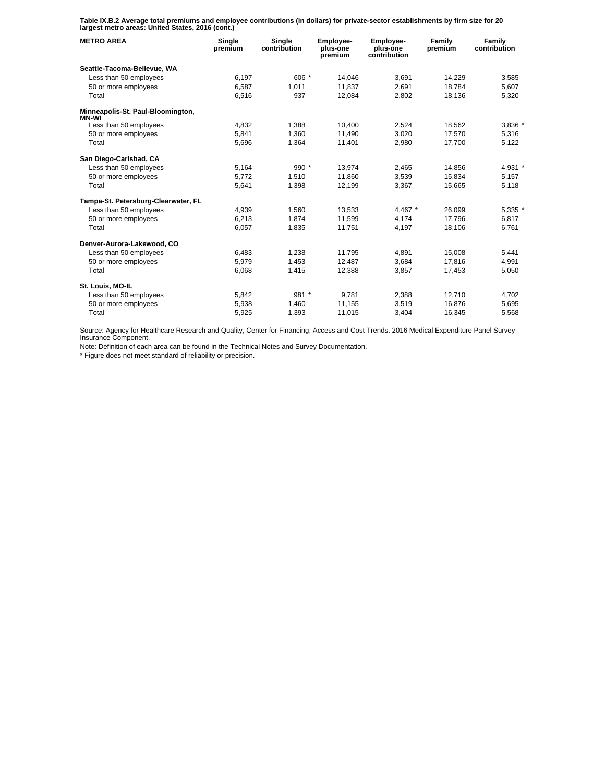**Table IX.B.2 Average total premiums and employee contributions (in dollars) for private-sector establishments by firm size for 20 largest metro areas: United States, 2016 (cont.)** 

| <b>METRO AREA</b>                          | Single<br>premium | Single<br>contribution | <b>Employee-</b><br>plus-one<br>premium | <b>Employee-</b><br>plus-one<br>contribution | Family<br>premium | Family<br>contribution |
|--------------------------------------------|-------------------|------------------------|-----------------------------------------|----------------------------------------------|-------------------|------------------------|
| Seattle-Tacoma-Bellevue, WA                |                   |                        |                                         |                                              |                   |                        |
| Less than 50 employees                     | 6,197             | 606 *                  | 14,046                                  | 3,691                                        | 14,229            | 3,585                  |
| 50 or more employees                       | 6.587             | 1.011                  | 11.837                                  | 2.691                                        | 18,784            | 5.607                  |
| Total                                      | 6,516             | 937                    | 12,084                                  | 2,802                                        | 18,136            | 5,320                  |
| Minneapolis-St. Paul-Bloomington,<br>MN-WI |                   |                        |                                         |                                              |                   |                        |
| Less than 50 employees                     | 4,832             | 1,388                  | 10,400                                  | 2,524                                        | 18,562            | 3,836 *                |
| 50 or more employees                       | 5,841             | 1.360                  | 11.490                                  | 3,020                                        | 17.570            | 5,316                  |
| Total                                      | 5,696             | 1,364                  | 11,401                                  | 2,980                                        | 17,700            | 5,122                  |
| San Diego-Carlsbad, CA                     |                   |                        |                                         |                                              |                   |                        |
| Less than 50 employees                     | 5,164             | $990*$                 | 13,974                                  | 2,465                                        | 14,856            | 4,931 *                |
| 50 or more employees                       | 5,772             | 1,510                  | 11,860                                  | 3,539                                        | 15,834            | 5,157                  |
| Total                                      | 5,641             | 1,398                  | 12,199                                  | 3,367                                        | 15,665            | 5,118                  |
| Tampa-St. Petersburg-Clearwater, FL        |                   |                        |                                         |                                              |                   |                        |
| Less than 50 employees                     | 4,939             | 1,560                  | 13,533                                  | 4,467 *                                      | 26,099            | 5,335 *                |
| 50 or more employees                       | 6,213             | 1,874                  | 11,599                                  | 4,174                                        | 17,796            | 6,817                  |
| Total                                      | 6,057             | 1,835                  | 11,751                                  | 4,197                                        | 18,106            | 6,761                  |
| Denver-Aurora-Lakewood, CO                 |                   |                        |                                         |                                              |                   |                        |
| Less than 50 employees                     | 6,483             | 1,238                  | 11.795                                  | 4.891                                        | 15,008            | 5,441                  |
| 50 or more employees                       | 5,979             | 1,453                  | 12,487                                  | 3,684                                        | 17,816            | 4,991                  |
| Total                                      | 6,068             | 1,415                  | 12,388                                  | 3.857                                        | 17,453            | 5,050                  |
| St. Louis, MO-IL                           |                   |                        |                                         |                                              |                   |                        |
| Less than 50 employees                     | 5,842             | 981 *                  | 9.781                                   | 2,388                                        | 12,710            | 4,702                  |
| 50 or more employees                       | 5,938             | 1,460                  | 11,155                                  | 3,519                                        | 16,876            | 5,695                  |
| Total                                      | 5,925             | 1,393                  | 11,015                                  | 3,404                                        | 16,345            | 5,568                  |

Source: Agency for Healthcare Research and Quality, Center for Financing, Access and Cost Trends. 2016 Medical Expenditure Panel Survey-Insurance Component.

Note: Definition of each area can be found in the Technical Notes and Survey Documentation.

\* Figure does not meet standard of reliability or precision.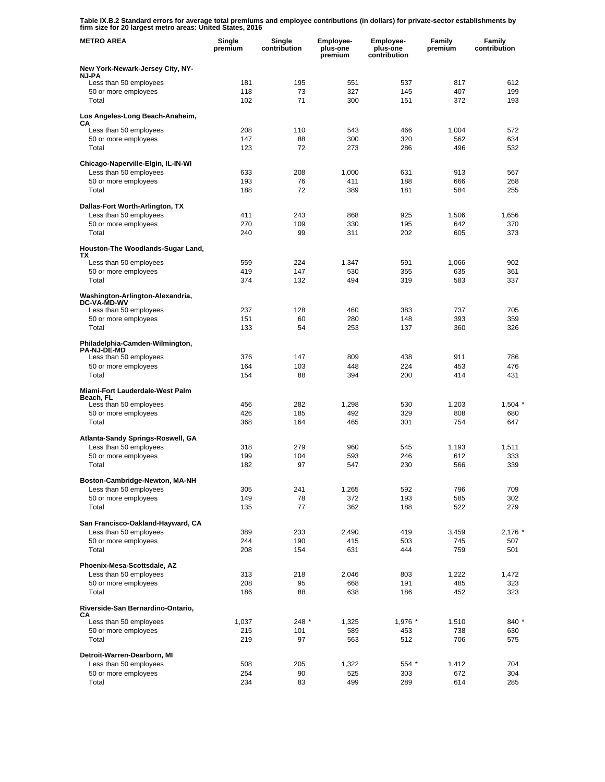**Table IX.B.2 Standard errors for average total premiums and employee contributions (in dollars) for private-sector establishments by firm size for 20 largest metro areas: United States, 2016** 

| <b>METRO AREA</b>                                           | Single<br>premium | Single<br>contribution | Employee-<br>plus-one<br>premium | Employee-<br>plus-one<br>contribution | Family<br>premium | Family<br>contribution |
|-------------------------------------------------------------|-------------------|------------------------|----------------------------------|---------------------------------------|-------------------|------------------------|
| New York-Newark-Jersey City, NY-                            |                   |                        |                                  |                                       |                   |                        |
| <b>NJ-PA</b><br>Less than 50 employees                      | 181               | 195                    | 551                              | 537                                   | 817               | 612                    |
| 50 or more employees                                        | 118               | 73                     | 327                              | 145                                   | 407               | 199                    |
| Total                                                       | 102               | 71                     | 300                              | 151                                   | 372               | 193                    |
| Los Angeles-Long Beach-Anaheim,<br>CА                       |                   |                        |                                  |                                       |                   |                        |
| Less than 50 employees                                      | 208               | 110                    | 543                              | 466                                   | 1,004             | 572                    |
| 50 or more employees                                        | 147               | 88                     | 300                              | 320                                   | 562               | 634                    |
| Total                                                       | 123               | 72                     | 273                              | 286                                   | 496               | 532                    |
| Chicago-Naperville-Elgin, IL-IN-WI                          |                   |                        |                                  |                                       |                   |                        |
| Less than 50 employees<br>50 or more employees              | 633<br>193        | 208<br>76              | 1,000<br>411                     | 631<br>188                            | 913<br>666        | 567<br>268             |
| Total                                                       | 188               | 72                     | 389                              | 181                                   | 584               | 255                    |
| Dallas-Fort Worth-Arlington, TX                             |                   |                        |                                  |                                       |                   |                        |
| Less than 50 employees                                      | 411               | 243                    | 868                              | 925                                   | 1,506             | 1,656                  |
| 50 or more employees                                        | 270               | 109                    | 330                              | 195                                   | 642               | 370                    |
| Total                                                       | 240               | 99                     | 311                              | 202                                   | 605               | 373                    |
| Houston-The Woodlands-Sugar Land,<br>TХ                     |                   |                        |                                  |                                       |                   |                        |
| Less than 50 employees                                      | 559               | 224                    | 1,347                            | 591                                   | 1,066             | 902                    |
| 50 or more employees                                        | 419               | 147                    | 530                              | 355                                   | 635               | 361                    |
| Total                                                       | 374               | 132                    | 494                              | 319                                   | 583               | 337                    |
| Washington-Arlington-Alexandria,<br><b>DC-VA-MD-WV</b>      |                   |                        |                                  |                                       |                   |                        |
| Less than 50 employees                                      | 237               | 128                    | 460                              | 383                                   | 737               | 705                    |
| 50 or more employees<br>Total                               | 151<br>133        | 60<br>54               | 280<br>253                       | 148<br>137                            | 393<br>360        | 359<br>326             |
|                                                             |                   |                        |                                  |                                       |                   |                        |
| Philadelphia-Camden-Wilmington,<br><b>PA-NJ-DE-MD</b>       |                   |                        |                                  |                                       |                   |                        |
| Less than 50 employees                                      | 376               | 147                    | 809                              | 438                                   | 911               | 786                    |
| 50 or more employees<br>Total                               | 164<br>154        | 103<br>88              | 448<br>394                       | 224<br>200                            | 453<br>414        | 476<br>431             |
|                                                             |                   |                        |                                  |                                       |                   |                        |
| Miami-Fort Lauderdale-West Palm<br>Beach, FL                |                   |                        |                                  |                                       |                   |                        |
| Less than 50 employees                                      | 456               | 282                    | 1,298                            | 530                                   | 1,203             | 1,504                  |
| 50 or more employees<br>Total                               | 426<br>368        | 185<br>164             | 492<br>465                       | 329<br>301                            | 808<br>754        | 680<br>647             |
|                                                             |                   |                        |                                  |                                       |                   |                        |
| Atlanta-Sandy Springs-Roswell, GA<br>Less than 50 employees | 318               | 279                    | 960                              | 545                                   | 1,193             | 1,511                  |
| 50 or more employees                                        | 199               | 104                    | 593                              | 246                                   | 612               | 333                    |
| Total                                                       | 182               | 97                     | 547                              | 230                                   | 566               | 339                    |
| Boston-Cambridge-Newton, MA-NH                              |                   |                        |                                  |                                       |                   |                        |
| Less than 50 employees                                      | 305               | 241                    | 1,265                            | 592                                   | 796               | 709                    |
| 50 or more employees                                        | 149               | 78                     | 372                              | 193                                   | 585               | 302                    |
| Total                                                       | 135               | 77                     | 362                              | 188                                   | 522               | 279                    |
| San Francisco-Oakland-Hayward, CA                           |                   |                        |                                  |                                       |                   |                        |
| Less than 50 employees                                      | 389               | 233                    | 2,490                            | 419                                   | 3,459             | $2,176$ $*$            |
| 50 or more employees<br>Total                               | 244<br>208        | 190<br>154             | 415<br>631                       | 503<br>444                            | 745<br>759        | 507<br>501             |
| Phoenix-Mesa-Scottsdale, AZ                                 |                   |                        |                                  |                                       |                   |                        |
| Less than 50 employees                                      | 313               | 218                    | 2,046                            | 803                                   | 1,222             | 1,472                  |
| 50 or more employees                                        | 208               | 95                     | 668                              | 191                                   | 485               | 323                    |
| Total                                                       | 186               | 88                     | 638                              | 186                                   | 452               | 323                    |
| Riverside-San Bernardino-Ontario,<br>CА                     |                   |                        |                                  |                                       |                   |                        |
| Less than 50 employees                                      | 1,037             | 248 *                  | 1,325                            | 1,976 *                               | 1,510             | 840 *                  |
| 50 or more employees                                        | 215               | 101                    | 589                              | 453                                   | 738               | 630                    |
| Total                                                       | 219               | 97                     | 563                              | 512                                   | 706               | 575                    |
| Detroit-Warren-Dearborn, MI                                 |                   |                        |                                  |                                       |                   |                        |
| Less than 50 employees<br>50 or more employees              | 508<br>254        | 205<br>90              | 1,322<br>525                     | 554 *<br>303                          | 1,412<br>672      | 704<br>304             |
| Total                                                       | 234               | 83                     | 499                              | 289                                   | 614               | 285                    |